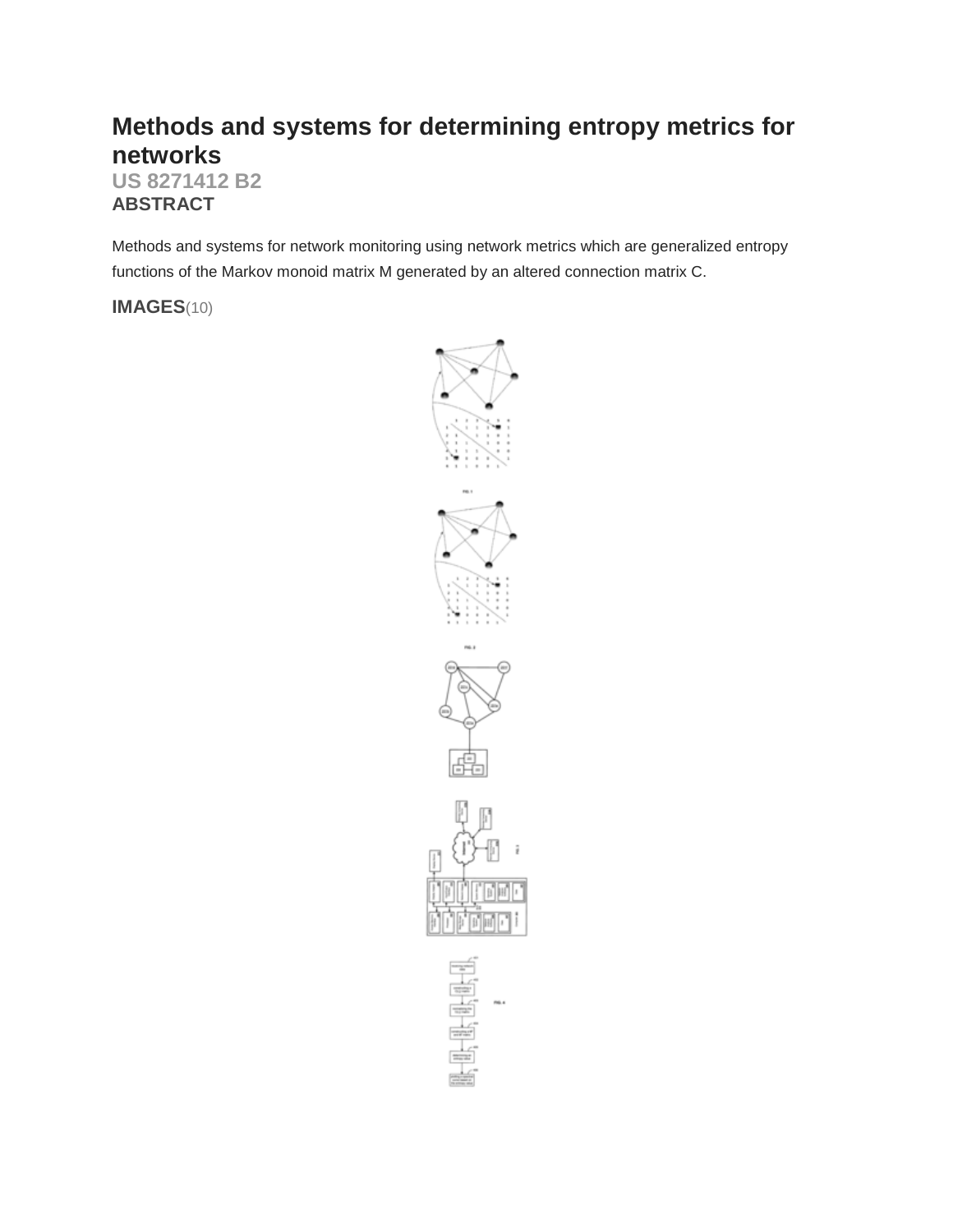# **Methods and systems for determining entropy metrics for networks**

**US 8271412 B2 ABSTRACT**

Methods and systems for network monitoring using network metrics which are generalized entropy functions of the Markov monoid matrix M generated by an altered connection matrix C.

**IMAGES**(10)

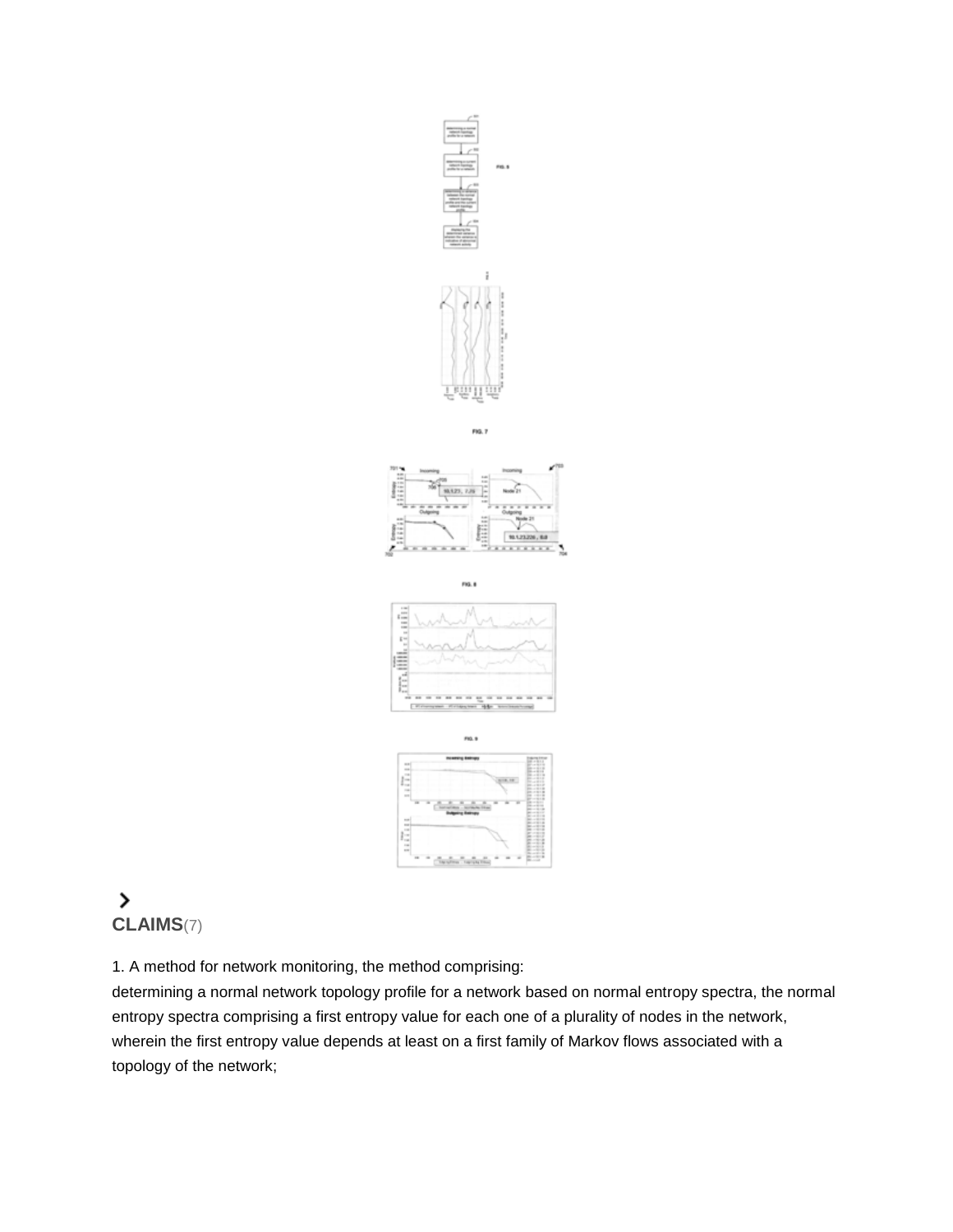

FIG. 7



 $ma.$ 





# $\,$ **CLAIMS**(7)

1. A method for network monitoring, the method comprising:

determining a normal network topology profile for a network based on normal entropy spectra, the normal entropy spectra comprising a first entropy value for each one of a plurality of nodes in the network, wherein the first entropy value depends at least on a first family of Markov flows associated with a topology of the network;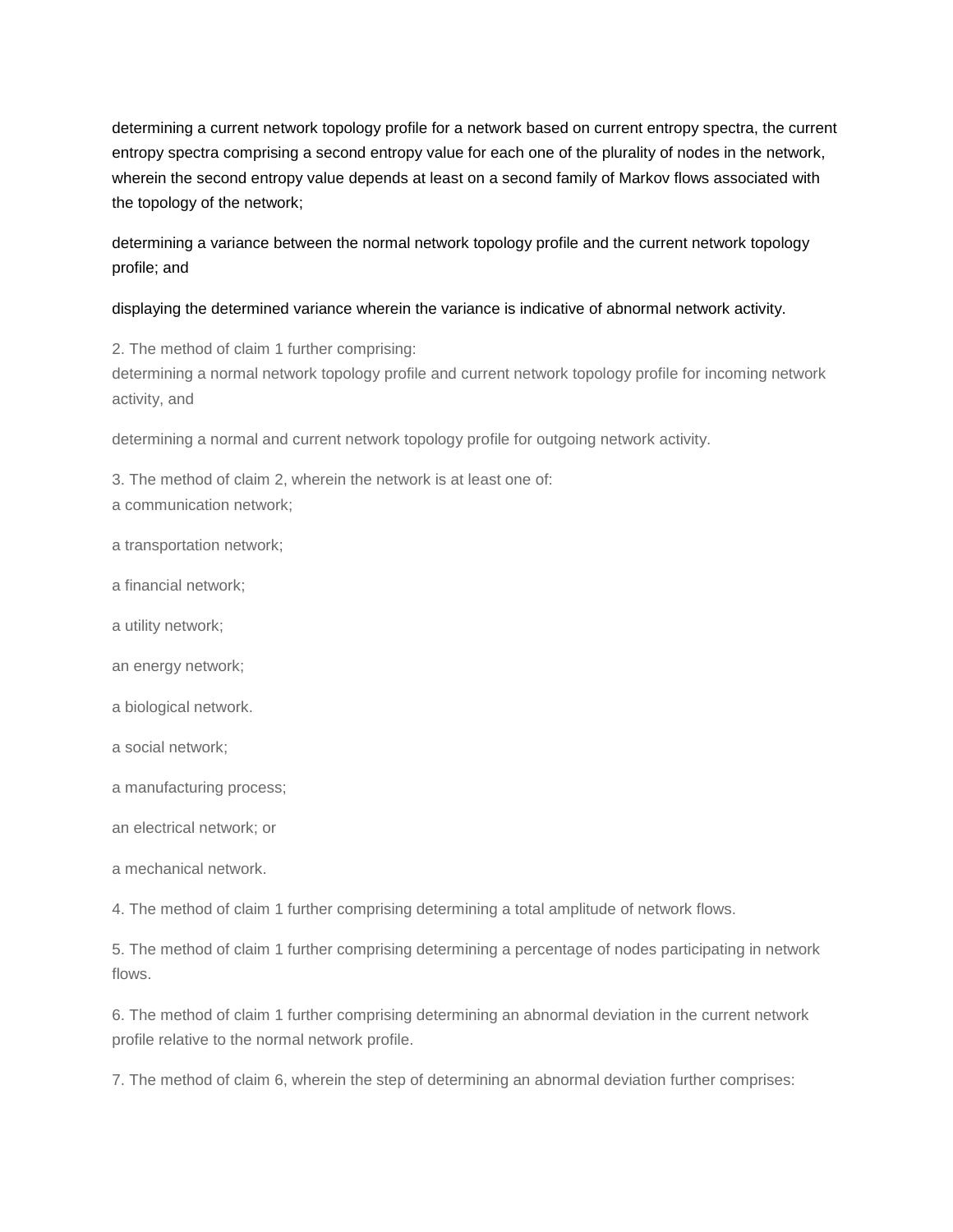determining a current network topology profile for a network based on current entropy spectra, the current entropy spectra comprising a second entropy value for each one of the plurality of nodes in the network, wherein the second entropy value depends at least on a second family of Markov flows associated with the topology of the network;

determining a variance between the normal network topology profile and the current network topology profile; and

# displaying the determined variance wherein the variance is indicative of abnormal network activity.

2. The method of claim 1 further comprising:

determining a normal network topology profile and current network topology profile for incoming network activity, and

determining a normal and current network topology profile for outgoing network activity.

3. The method of claim 2, wherein the network is at least one of: a communication network;

a transportation network;

- a financial network;
- a utility network;
- an energy network;
- a biological network.
- a social network;
- a manufacturing process;
- an electrical network; or
- a mechanical network.

4. The method of claim 1 further comprising determining a total amplitude of network flows.

5. The method of claim 1 further comprising determining a percentage of nodes participating in network flows.

6. The method of claim 1 further comprising determining an abnormal deviation in the current network profile relative to the normal network profile.

7. The method of claim 6, wherein the step of determining an abnormal deviation further comprises: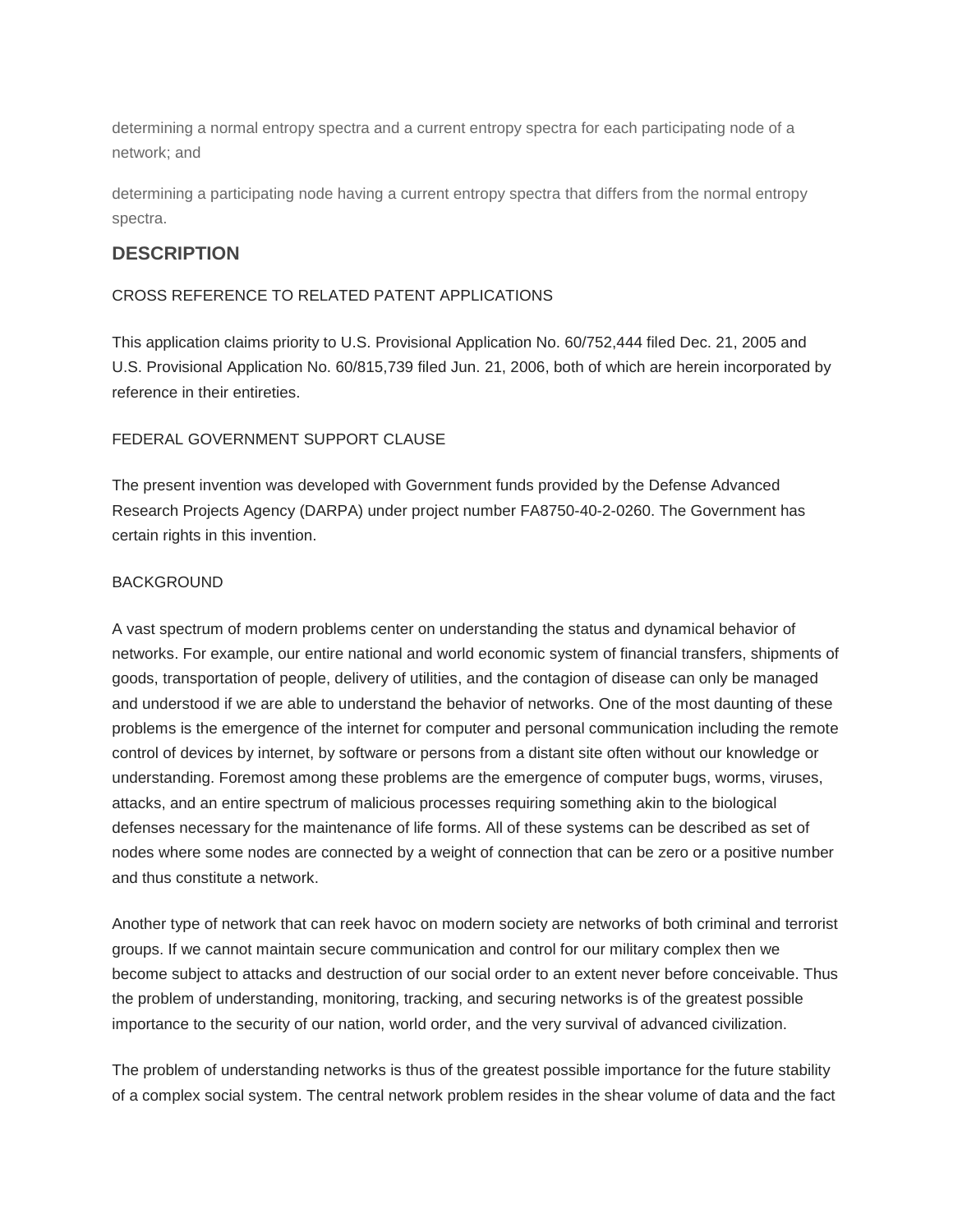determining a normal entropy spectra and a current entropy spectra for each participating node of a network; and

determining a participating node having a current entropy spectra that differs from the normal entropy spectra.

# **DESCRIPTION**

# CROSS REFERENCE TO RELATED PATENT APPLICATIONS

This application claims priority to U.S. Provisional Application No. 60/752,444 filed Dec. 21, 2005 and U.S. Provisional Application No. 60/815,739 filed Jun. 21, 2006, both of which are herein incorporated by reference in their entireties.

# FEDERAL GOVERNMENT SUPPORT CLAUSE

The present invention was developed with Government funds provided by the Defense Advanced Research Projects Agency (DARPA) under project number FA8750-40-2-0260. The Government has certain rights in this invention.

# BACKGROUND

A vast spectrum of modern problems center on understanding the status and dynamical behavior of networks. For example, our entire national and world economic system of financial transfers, shipments of goods, transportation of people, delivery of utilities, and the contagion of disease can only be managed and understood if we are able to understand the behavior of networks. One of the most daunting of these problems is the emergence of the internet for computer and personal communication including the remote control of devices by internet, by software or persons from a distant site often without our knowledge or understanding. Foremost among these problems are the emergence of computer bugs, worms, viruses, attacks, and an entire spectrum of malicious processes requiring something akin to the biological defenses necessary for the maintenance of life forms. All of these systems can be described as set of nodes where some nodes are connected by a weight of connection that can be zero or a positive number and thus constitute a network.

Another type of network that can reek havoc on modern society are networks of both criminal and terrorist groups. If we cannot maintain secure communication and control for our military complex then we become subject to attacks and destruction of our social order to an extent never before conceivable. Thus the problem of understanding, monitoring, tracking, and securing networks is of the greatest possible importance to the security of our nation, world order, and the very survival of advanced civilization.

The problem of understanding networks is thus of the greatest possible importance for the future stability of a complex social system. The central network problem resides in the shear volume of data and the fact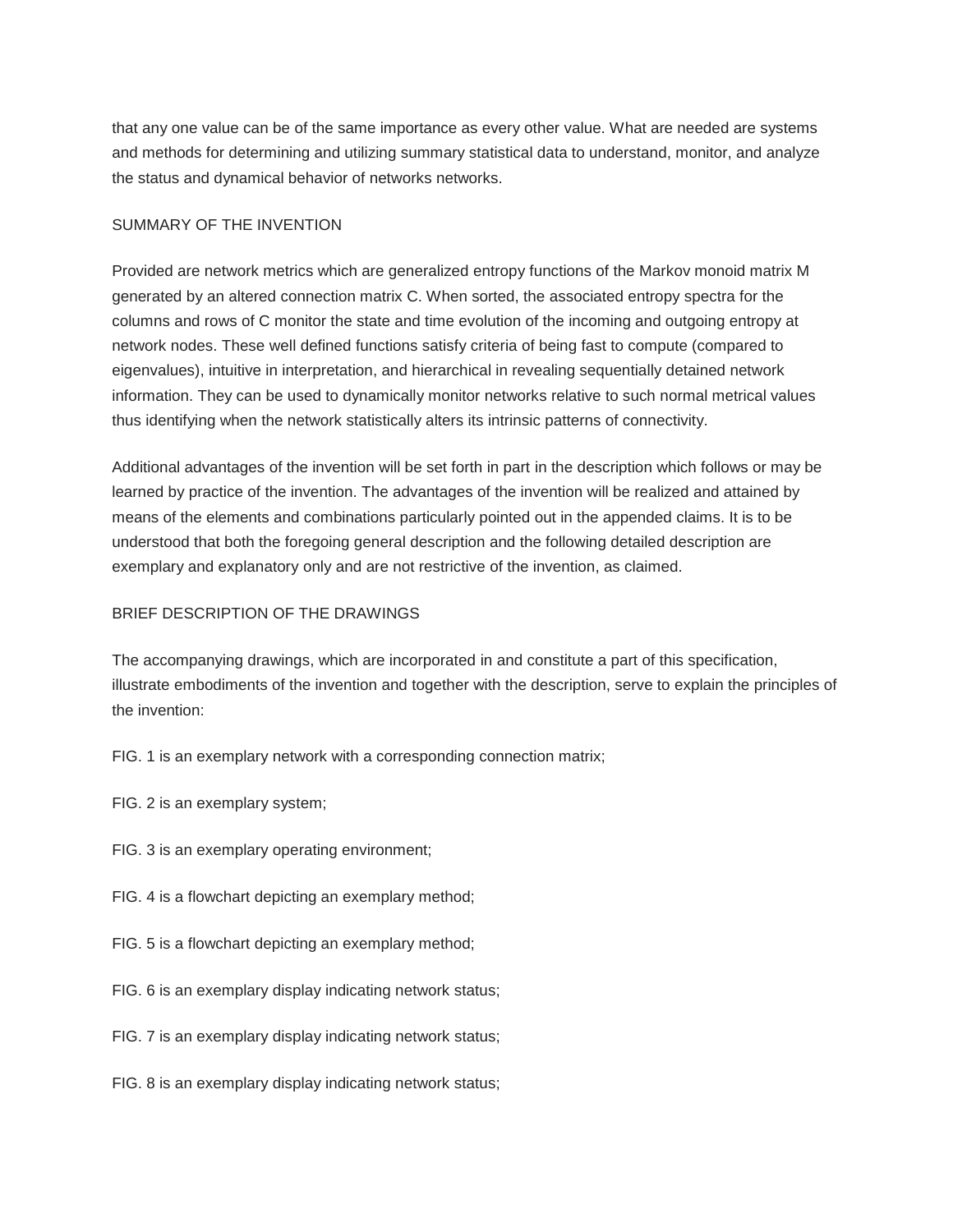that any one value can be of the same importance as every other value. What are needed are systems and methods for determining and utilizing summary statistical data to understand, monitor, and analyze the status and dynamical behavior of networks networks.

# SUMMARY OF THE INVENTION

Provided are network metrics which are generalized entropy functions of the Markov monoid matrix M generated by an altered connection matrix C. When sorted, the associated entropy spectra for the columns and rows of C monitor the state and time evolution of the incoming and outgoing entropy at network nodes. These well defined functions satisfy criteria of being fast to compute (compared to eigenvalues), intuitive in interpretation, and hierarchical in revealing sequentially detained network information. They can be used to dynamically monitor networks relative to such normal metrical values thus identifying when the network statistically alters its intrinsic patterns of connectivity.

Additional advantages of the invention will be set forth in part in the description which follows or may be learned by practice of the invention. The advantages of the invention will be realized and attained by means of the elements and combinations particularly pointed out in the appended claims. It is to be understood that both the foregoing general description and the following detailed description are exemplary and explanatory only and are not restrictive of the invention, as claimed.

# BRIEF DESCRIPTION OF THE DRAWINGS

The accompanying drawings, which are incorporated in and constitute a part of this specification, illustrate embodiments of the invention and together with the description, serve to explain the principles of the invention:

- FIG. 1 is an exemplary network with a corresponding connection matrix;
- FIG. 2 is an exemplary system;
- FIG. 3 is an exemplary operating environment;
- FIG. 4 is a flowchart depicting an exemplary method;
- FIG. 5 is a flowchart depicting an exemplary method;
- FIG. 6 is an exemplary display indicating network status;
- FIG. 7 is an exemplary display indicating network status;
- FIG. 8 is an exemplary display indicating network status;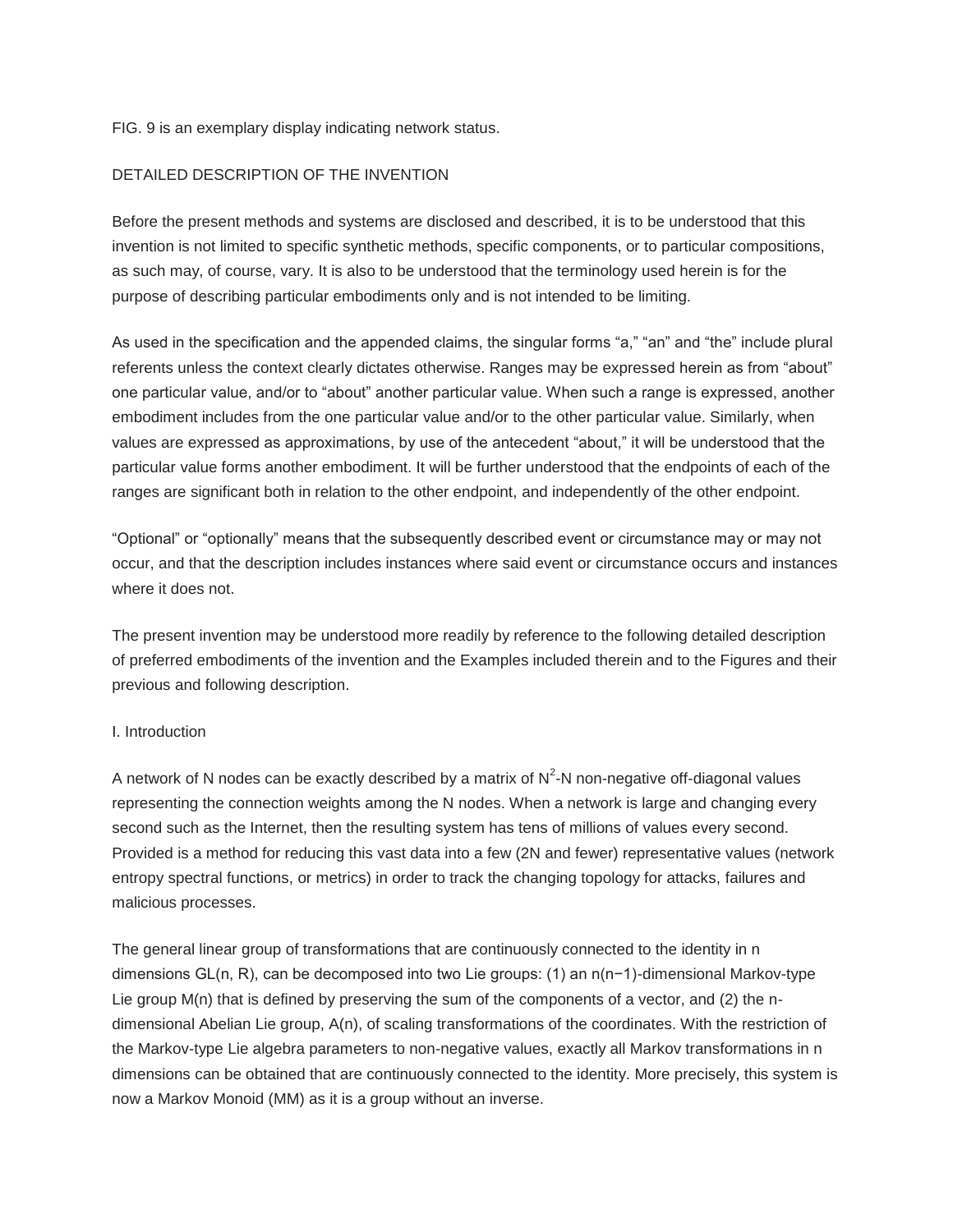FIG. 9 is an exemplary display indicating network status.

# DETAILED DESCRIPTION OF THE INVENTION

Before the present methods and systems are disclosed and described, it is to be understood that this invention is not limited to specific synthetic methods, specific components, or to particular compositions, as such may, of course, vary. It is also to be understood that the terminology used herein is for the purpose of describing particular embodiments only and is not intended to be limiting.

As used in the specification and the appended claims, the singular forms "a," "an" and "the" include plural referents unless the context clearly dictates otherwise. Ranges may be expressed herein as from "about" one particular value, and/or to "about" another particular value. When such a range is expressed, another embodiment includes from the one particular value and/or to the other particular value. Similarly, when values are expressed as approximations, by use of the antecedent "about," it will be understood that the particular value forms another embodiment. It will be further understood that the endpoints of each of the ranges are significant both in relation to the other endpoint, and independently of the other endpoint.

"Optional" or "optionally" means that the subsequently described event or circumstance may or may not occur, and that the description includes instances where said event or circumstance occurs and instances where it does not.

The present invention may be understood more readily by reference to the following detailed description of preferred embodiments of the invention and the Examples included therein and to the Figures and their previous and following description.

#### I. Introduction

A network of N nodes can be exactly described by a matrix of  $N^2$ -N non-negative off-diagonal values representing the connection weights among the N nodes. When a network is large and changing every second such as the Internet, then the resulting system has tens of millions of values every second. Provided is a method for reducing this vast data into a few (2N and fewer) representative values (network entropy spectral functions, or metrics) in order to track the changing topology for attacks, failures and malicious processes.

The general linear group of transformations that are continuously connected to the identity in n dimensions GL(n, R), can be decomposed into two Lie groups: (1) an n(n−1)-dimensional Markov-type Lie group M(n) that is defined by preserving the sum of the components of a vector, and (2) the ndimensional Abelian Lie group, A(n), of scaling transformations of the coordinates. With the restriction of the Markov-type Lie algebra parameters to non-negative values, exactly all Markov transformations in n dimensions can be obtained that are continuously connected to the identity. More precisely, this system is now a Markov Monoid (MM) as it is a group without an inverse.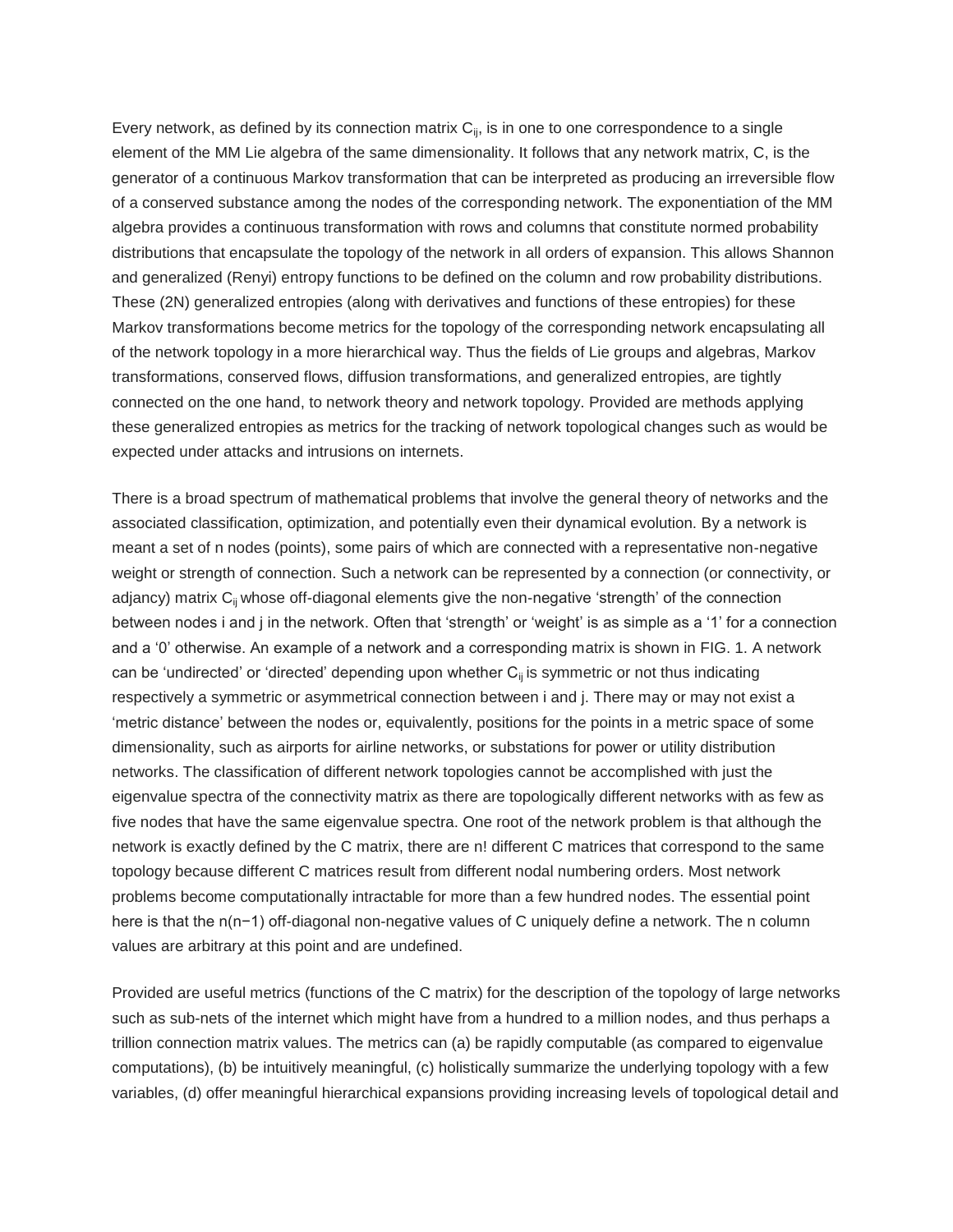Every network, as defined by its connection matrix  $C_{ij}$ , is in one to one correspondence to a single element of the MM Lie algebra of the same dimensionality. It follows that any network matrix, C, is the generator of a continuous Markov transformation that can be interpreted as producing an irreversible flow of a conserved substance among the nodes of the corresponding network. The exponentiation of the MM algebra provides a continuous transformation with rows and columns that constitute normed probability distributions that encapsulate the topology of the network in all orders of expansion. This allows Shannon and generalized (Renyi) entropy functions to be defined on the column and row probability distributions. These (2N) generalized entropies (along with derivatives and functions of these entropies) for these Markov transformations become metrics for the topology of the corresponding network encapsulating all of the network topology in a more hierarchical way. Thus the fields of Lie groups and algebras, Markov transformations, conserved flows, diffusion transformations, and generalized entropies, are tightly connected on the one hand, to network theory and network topology. Provided are methods applying these generalized entropies as metrics for the tracking of network topological changes such as would be expected under attacks and intrusions on internets.

There is a broad spectrum of mathematical problems that involve the general theory of networks and the associated classification, optimization, and potentially even their dynamical evolution. By a network is meant a set of n nodes (points), some pairs of which are connected with a representative non-negative weight or strength of connection. Such a network can be represented by a connection (or connectivity, or adjancy) matrix C<sub>ii</sub> whose off-diagonal elements give the non-negative 'strength' of the connection between nodes i and j in the network. Often that 'strength' or 'weight' is as simple as a '1' for a connection and a '0' otherwise. An example of a network and a corresponding matrix is shown in FIG. 1. A network can be 'undirected' or 'directed' depending upon whether  $C_{ii}$  is symmetric or not thus indicating respectively a symmetric or asymmetrical connection between i and j. There may or may not exist a 'metric distance' between the nodes or, equivalently, positions for the points in a metric space of some dimensionality, such as airports for airline networks, or substations for power or utility distribution networks. The classification of different network topologies cannot be accomplished with just the eigenvalue spectra of the connectivity matrix as there are topologically different networks with as few as five nodes that have the same eigenvalue spectra. One root of the network problem is that although the network is exactly defined by the C matrix, there are n! different C matrices that correspond to the same topology because different C matrices result from different nodal numbering orders. Most network problems become computationally intractable for more than a few hundred nodes. The essential point here is that the n(n−1) off-diagonal non-negative values of C uniquely define a network. The n column values are arbitrary at this point and are undefined.

Provided are useful metrics (functions of the C matrix) for the description of the topology of large networks such as sub-nets of the internet which might have from a hundred to a million nodes, and thus perhaps a trillion connection matrix values. The metrics can (a) be rapidly computable (as compared to eigenvalue computations), (b) be intuitively meaningful, (c) holistically summarize the underlying topology with a few variables, (d) offer meaningful hierarchical expansions providing increasing levels of topological detail and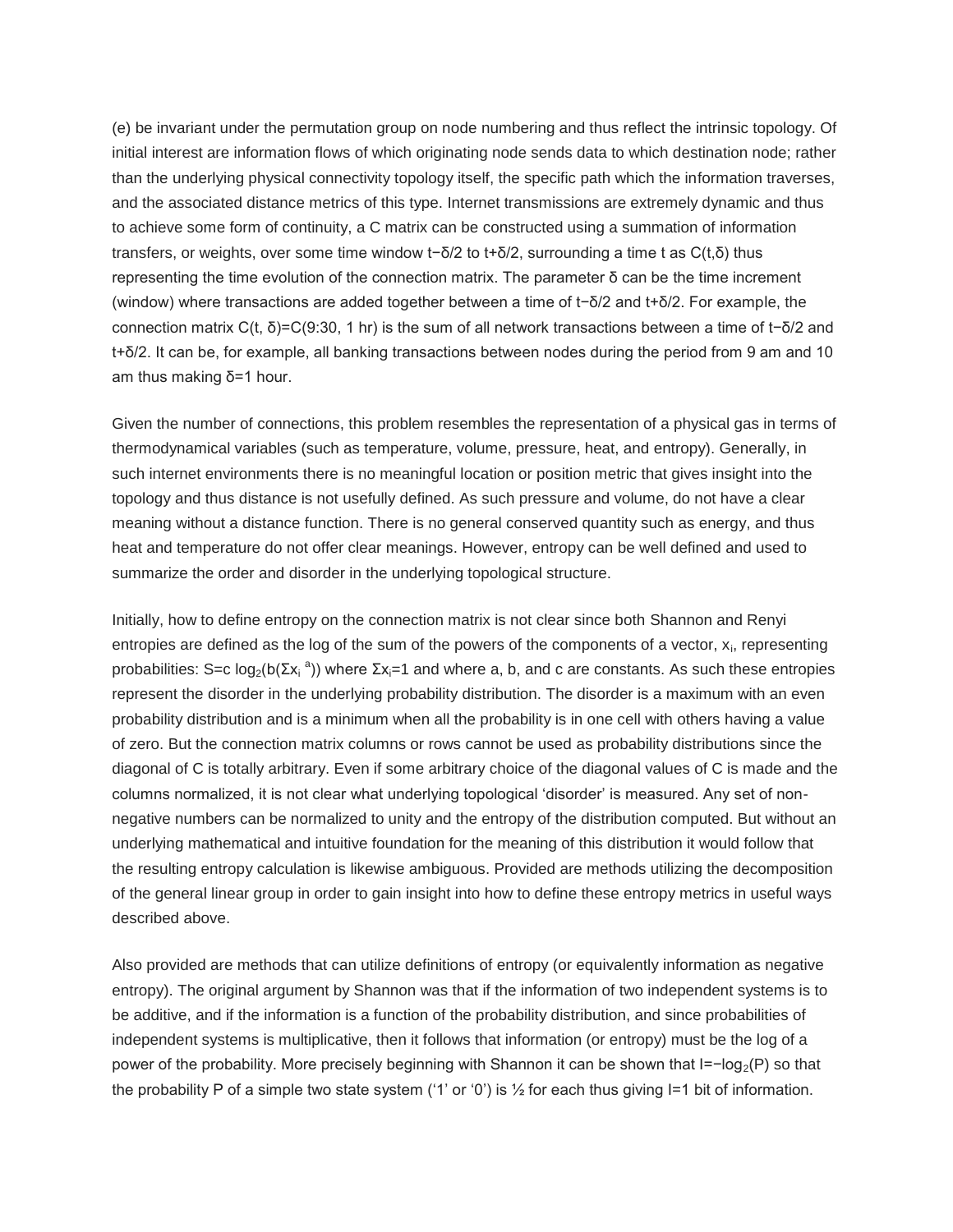(e) be invariant under the permutation group on node numbering and thus reflect the intrinsic topology. Of initial interest are information flows of which originating node sends data to which destination node; rather than the underlying physical connectivity topology itself, the specific path which the information traverses, and the associated distance metrics of this type. Internet transmissions are extremely dynamic and thus to achieve some form of continuity, a C matrix can be constructed using a summation of information transfers, or weights, over some time window t−δ/2 to t+δ/2, surrounding a time t as C(t,δ) thus representing the time evolution of the connection matrix. The parameter δ can be the time increment (window) where transactions are added together between a time of t−δ/2 and t+δ/2. For example, the connection matrix C(t, δ)=C(9:30, 1 hr) is the sum of all network transactions between a time of t−δ/2 and t+δ/2. It can be, for example, all banking transactions between nodes during the period from 9 am and 10 am thus making δ=1 hour.

Given the number of connections, this problem resembles the representation of a physical gas in terms of thermodynamical variables (such as temperature, volume, pressure, heat, and entropy). Generally, in such internet environments there is no meaningful location or position metric that gives insight into the topology and thus distance is not usefully defined. As such pressure and volume, do not have a clear meaning without a distance function. There is no general conserved quantity such as energy, and thus heat and temperature do not offer clear meanings. However, entropy can be well defined and used to summarize the order and disorder in the underlying topological structure.

Initially, how to define entropy on the connection matrix is not clear since both Shannon and Renyi entropies are defined as the log of the sum of the powers of the components of a vector, x<sub>i</sub>, representing probabilities: S=c log<sub>2</sub>(b(Σx<sub>i</sub><sup>a</sup>)) where Σx<sub>i</sub>=1 and where a, b, and c are constants. As such these entropies represent the disorder in the underlying probability distribution. The disorder is a maximum with an even probability distribution and is a minimum when all the probability is in one cell with others having a value of zero. But the connection matrix columns or rows cannot be used as probability distributions since the diagonal of C is totally arbitrary. Even if some arbitrary choice of the diagonal values of C is made and the columns normalized, it is not clear what underlying topological 'disorder' is measured. Any set of nonnegative numbers can be normalized to unity and the entropy of the distribution computed. But without an underlying mathematical and intuitive foundation for the meaning of this distribution it would follow that the resulting entropy calculation is likewise ambiguous. Provided are methods utilizing the decomposition of the general linear group in order to gain insight into how to define these entropy metrics in useful ways described above.

Also provided are methods that can utilize definitions of entropy (or equivalently information as negative entropy). The original argument by Shannon was that if the information of two independent systems is to be additive, and if the information is a function of the probability distribution, and since probabilities of independent systems is multiplicative, then it follows that information (or entropy) must be the log of a power of the probability. More precisely beginning with Shannon it can be shown that I=−log<sub>2</sub>(P) so that the probability P of a simple two state system ('1' or '0') is  $\frac{1}{2}$  for each thus giving I=1 bit of information.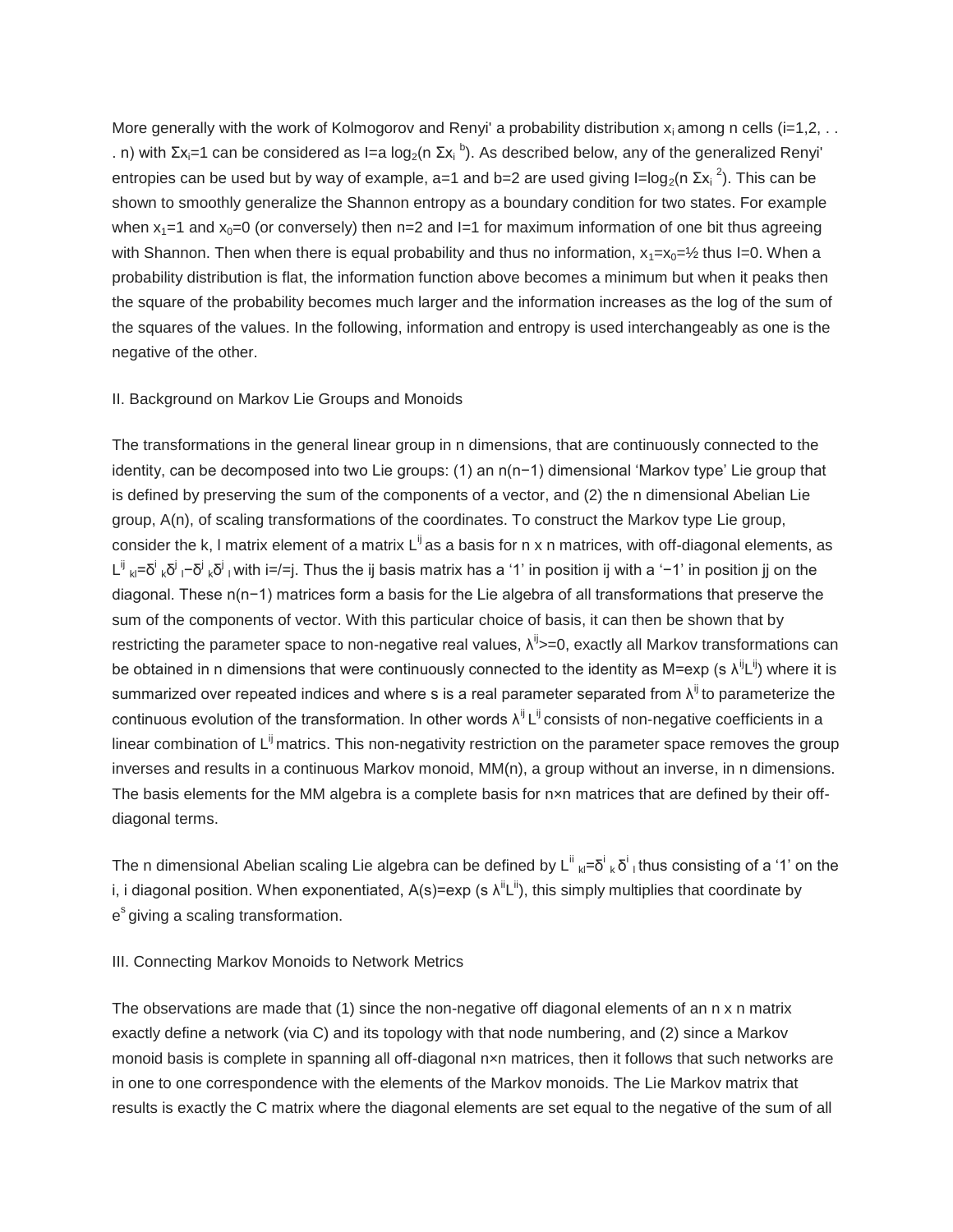More generally with the work of Kolmogorov and Renyi' a probability distribution  $x_i$  among n cells (i=1,2, ... . n) with Σx<sub>i</sub>=1 can be considered as I=a log<sub>2</sub>(n Σx<sub>i</sub> <sup>b</sup>). As described below, any of the generalized Renyi' entropies can be used but by way of example, a=1 and b=2 are used giving  $I=log_2(n \Sigma x_i^2)$ . This can be shown to smoothly generalize the Shannon entropy as a boundary condition for two states. For example when  $x_1=1$  and  $x_0=0$  (or conversely) then n=2 and I=1 for maximum information of one bit thus agreeing with Shannon. Then when there is equal probability and thus no information,  $x_1=x_0=1/2$  thus I=0. When a probability distribution is flat, the information function above becomes a minimum but when it peaks then the square of the probability becomes much larger and the information increases as the log of the sum of the squares of the values. In the following, information and entropy is used interchangeably as one is the negative of the other.

#### II. Background on Markov Lie Groups and Monoids

The transformations in the general linear group in n dimensions, that are continuously connected to the identity, can be decomposed into two Lie groups: (1) an n(n−1) dimensional 'Markov type' Lie group that is defined by preserving the sum of the components of a vector, and (2) the n dimensional Abelian Lie group, A(n), of scaling transformations of the coordinates. To construct the Markov type Lie group, consider the k, I matrix element of a matrix  $L^{ij}$  as a basis for n x n matrices, with off-diagonal elements, as L<sup>ij</sup> <sub>kl</sub>=δ<sup>i</sup> <sub>k</sub>δ<sup>i</sup> <sub>l</sub>−δ<sup>i</sup> <sub>k</sub>δ<sup>i</sup> <sub>l</sub> with i=/=j. Thus the ij basis matrix has a '1' in position ij with a '−1' in position jj on the diagonal. These n(n−1) matrices form a basis for the Lie algebra of all transformations that preserve the sum of the components of vector. With this particular choice of basis, it can then be shown that by restricting the parameter space to non-negative real values,  $\lambda^{ij}$  =0, exactly all Markov transformations can be obtained in n dimensions that were continuously connected to the identity as M=exp (s  $\lambda^{ij}L^{ij}$ ) where it is summarized over repeated indices and where s is a real parameter separated from  $\lambda^{ij}$  to parameterize the continuous evolution of the transformation. In other words  $\lambda^{ij} L^{ij}$  consists of non-negative coefficients in a linear combination of  $L^{ij}$  matrics. This non-negativity restriction on the parameter space removes the group inverses and results in a continuous Markov monoid, MM(n), a group without an inverse, in n dimensions. The basis elements for the MM algebra is a complete basis for nxn matrices that are defined by their offdiagonal terms.

The n dimensional Abelian scaling Lie algebra can be defined by L<sup>ii</sup> <sub>kl</sub>=δ<sup>i</sup> <sub>k</sub> δ<sup>i</sup> ı thus consisting of a '1' on the i, i diagonal position. When exponentiated, A(s)=exp (s  $\lambda^{\parallel}L^{\parallel}$ ), this simply multiplies that coordinate by e<sup>s</sup> giving a scaling transformation.

#### III. Connecting Markov Monoids to Network Metrics

The observations are made that  $(1)$  since the non-negative off diagonal elements of an  $n \times n$  matrix exactly define a network (via C) and its topology with that node numbering, and (2) since a Markov monoid basis is complete in spanning all off-diagonal nxn matrices, then it follows that such networks are in one to one correspondence with the elements of the Markov monoids. The Lie Markov matrix that results is exactly the C matrix where the diagonal elements are set equal to the negative of the sum of all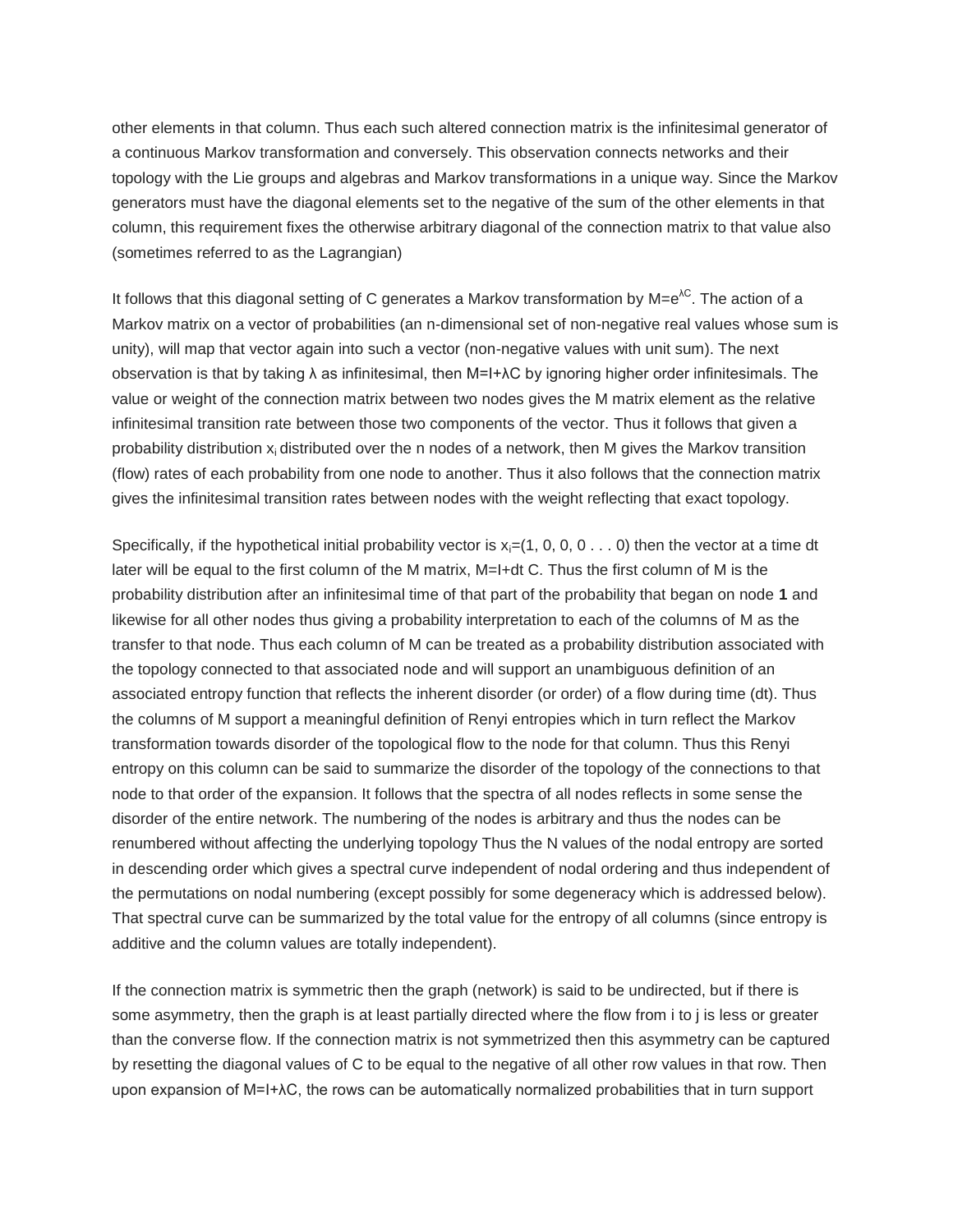other elements in that column. Thus each such altered connection matrix is the infinitesimal generator of a continuous Markov transformation and conversely. This observation connects networks and their topology with the Lie groups and algebras and Markov transformations in a unique way. Since the Markov generators must have the diagonal elements set to the negative of the sum of the other elements in that column, this requirement fixes the otherwise arbitrary diagonal of the connection matrix to that value also (sometimes referred to as the Lagrangian)

It follows that this diagonal setting of C generates a Markov transformation by  $M=e^{\lambda C}$ . The action of a Markov matrix on a vector of probabilities (an n-dimensional set of non-negative real values whose sum is unity), will map that vector again into such a vector (non-negative values with unit sum). The next observation is that by taking λ as infinitesimal, then M=I+λC by ignoring higher order infinitesimals. The value or weight of the connection matrix between two nodes gives the M matrix element as the relative infinitesimal transition rate between those two components of the vector. Thus it follows that given a probability distribution x<sup>i</sup> distributed over the n nodes of a network, then M gives the Markov transition (flow) rates of each probability from one node to another. Thus it also follows that the connection matrix gives the infinitesimal transition rates between nodes with the weight reflecting that exact topology.

Specifically, if the hypothetical initial probability vector is  $x_i=(1, 0, 0, 0, ...)$  then the vector at a time dt later will be equal to the first column of the M matrix, M=I+dt C. Thus the first column of M is the probability distribution after an infinitesimal time of that part of the probability that began on node **1** and likewise for all other nodes thus giving a probability interpretation to each of the columns of M as the transfer to that node. Thus each column of M can be treated as a probability distribution associated with the topology connected to that associated node and will support an unambiguous definition of an associated entropy function that reflects the inherent disorder (or order) of a flow during time (dt). Thus the columns of M support a meaningful definition of Renyi entropies which in turn reflect the Markov transformation towards disorder of the topological flow to the node for that column. Thus this Renyi entropy on this column can be said to summarize the disorder of the topology of the connections to that node to that order of the expansion. It follows that the spectra of all nodes reflects in some sense the disorder of the entire network. The numbering of the nodes is arbitrary and thus the nodes can be renumbered without affecting the underlying topology Thus the N values of the nodal entropy are sorted in descending order which gives a spectral curve independent of nodal ordering and thus independent of the permutations on nodal numbering (except possibly for some degeneracy which is addressed below). That spectral curve can be summarized by the total value for the entropy of all columns (since entropy is additive and the column values are totally independent).

If the connection matrix is symmetric then the graph (network) is said to be undirected, but if there is some asymmetry, then the graph is at least partially directed where the flow from i to j is less or greater than the converse flow. If the connection matrix is not symmetrized then this asymmetry can be captured by resetting the diagonal values of C to be equal to the negative of all other row values in that row. Then upon expansion of M=I+λC, the rows can be automatically normalized probabilities that in turn support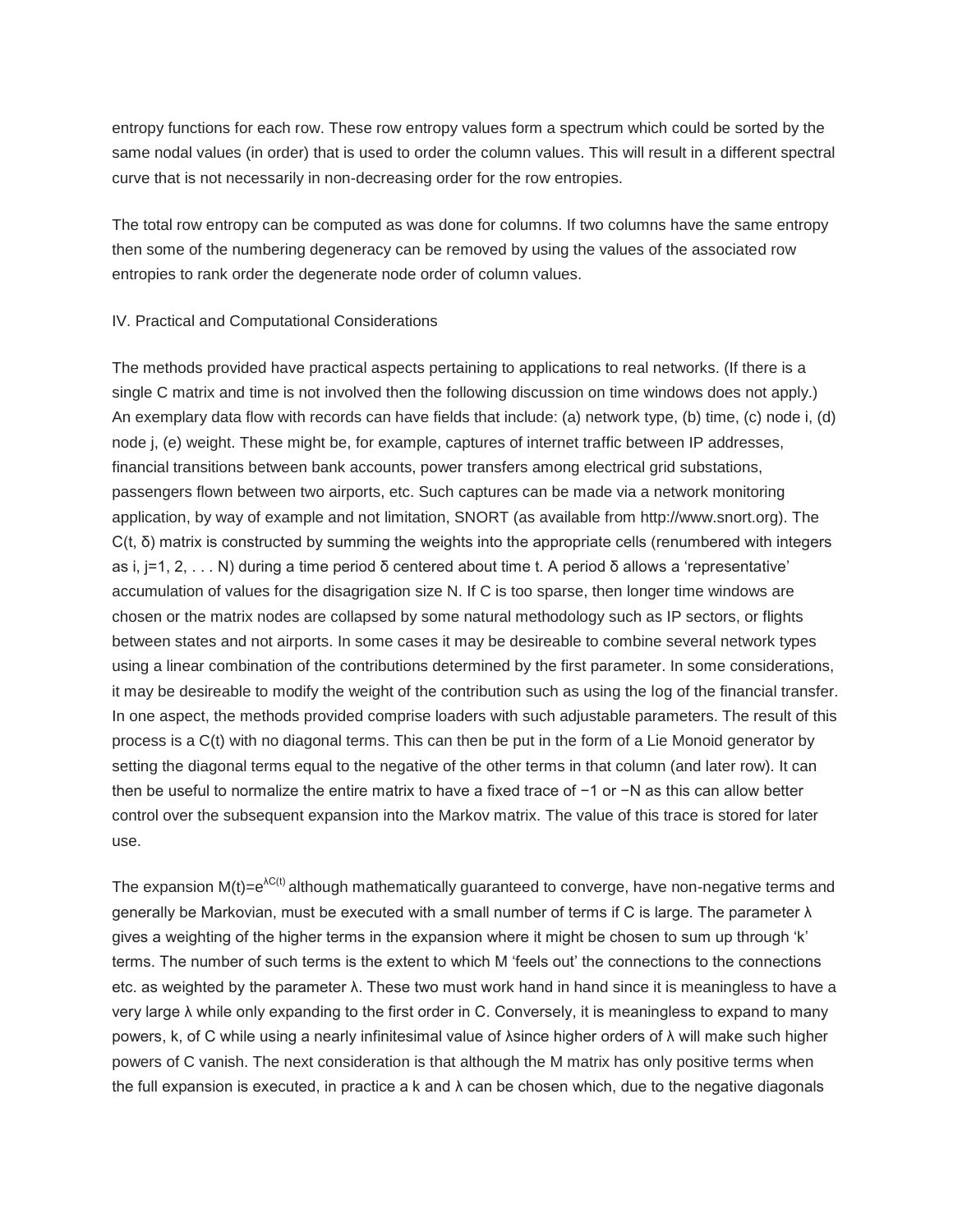entropy functions for each row. These row entropy values form a spectrum which could be sorted by the same nodal values (in order) that is used to order the column values. This will result in a different spectral curve that is not necessarily in non-decreasing order for the row entropies.

The total row entropy can be computed as was done for columns. If two columns have the same entropy then some of the numbering degeneracy can be removed by using the values of the associated row entropies to rank order the degenerate node order of column values.

#### IV. Practical and Computational Considerations

The methods provided have practical aspects pertaining to applications to real networks. (If there is a single C matrix and time is not involved then the following discussion on time windows does not apply.) An exemplary data flow with records can have fields that include: (a) network type, (b) time, (c) node i, (d) node j, (e) weight. These might be, for example, captures of internet traffic between IP addresses, financial transitions between bank accounts, power transfers among electrical grid substations, passengers flown between two airports, etc. Such captures can be made via a network monitoring application, by way of example and not limitation, SNORT (as available from http://www.snort.org). The  $C(t, δ)$  matrix is constructed by summing the weights into the appropriate cells (renumbered with integers as i, j=1, 2, . . . N) during a time period δ centered about time t. A period δ allows a 'representative' accumulation of values for the disagrigation size N. If C is too sparse, then longer time windows are chosen or the matrix nodes are collapsed by some natural methodology such as IP sectors, or flights between states and not airports. In some cases it may be desireable to combine several network types using a linear combination of the contributions determined by the first parameter. In some considerations, it may be desireable to modify the weight of the contribution such as using the log of the financial transfer. In one aspect, the methods provided comprise loaders with such adjustable parameters. The result of this process is a C(t) with no diagonal terms. This can then be put in the form of a Lie Monoid generator by setting the diagonal terms equal to the negative of the other terms in that column (and later row). It can then be useful to normalize the entire matrix to have a fixed trace of −1 or −N as this can allow better control over the subsequent expansion into the Markov matrix. The value of this trace is stored for later use.

The expansion  $M(t)=e^{\lambda C(t)}$  although mathematically guaranteed to converge, have non-negative terms and generally be Markovian, must be executed with a small number of terms if C is large. The parameter λ gives a weighting of the higher terms in the expansion where it might be chosen to sum up through 'k' terms. The number of such terms is the extent to which M 'feels out' the connections to the connections etc. as weighted by the parameter λ. These two must work hand in hand since it is meaningless to have a very large λ while only expanding to the first order in C. Conversely, it is meaningless to expand to many powers, k, of C while using a nearly infinitesimal value of λsince higher orders of λ will make such higher powers of C vanish. The next consideration is that although the M matrix has only positive terms when the full expansion is executed, in practice a k and  $\lambda$  can be chosen which, due to the negative diagonals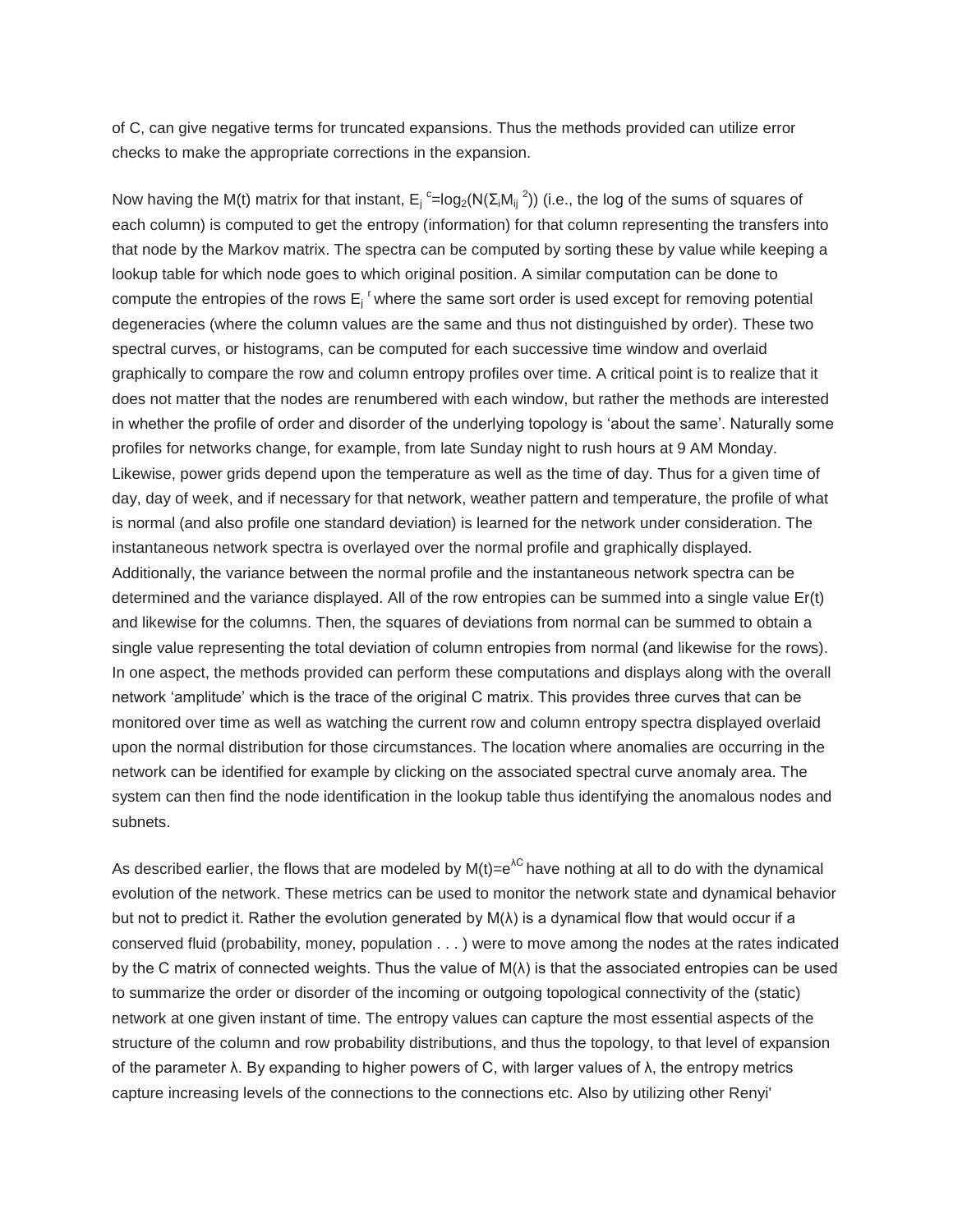of C, can give negative terms for truncated expansions. Thus the methods provided can utilize error checks to make the appropriate corrections in the expansion.

Now having the M(t) matrix for that instant,  $E_j^{\text{c}} = \log_2(N(\Sigma_i M_{ij}^2))$  (i.e., the log of the sums of squares of each column) is computed to get the entropy (information) for that column representing the transfers into that node by the Markov matrix. The spectra can be computed by sorting these by value while keeping a lookup table for which node goes to which original position. A similar computation can be done to compute the entropies of the rows  $E_j$ <sup>r</sup> where the same sort order is used except for removing potential degeneracies (where the column values are the same and thus not distinguished by order). These two spectral curves, or histograms, can be computed for each successive time window and overlaid graphically to compare the row and column entropy profiles over time. A critical point is to realize that it does not matter that the nodes are renumbered with each window, but rather the methods are interested in whether the profile of order and disorder of the underlying topology is 'about the same'. Naturally some profiles for networks change, for example, from late Sunday night to rush hours at 9 AM Monday. Likewise, power grids depend upon the temperature as well as the time of day. Thus for a given time of day, day of week, and if necessary for that network, weather pattern and temperature, the profile of what is normal (and also profile one standard deviation) is learned for the network under consideration. The instantaneous network spectra is overlayed over the normal profile and graphically displayed. Additionally, the variance between the normal profile and the instantaneous network spectra can be determined and the variance displayed. All of the row entropies can be summed into a single value Er(t) and likewise for the columns. Then, the squares of deviations from normal can be summed to obtain a single value representing the total deviation of column entropies from normal (and likewise for the rows). In one aspect, the methods provided can perform these computations and displays along with the overall network 'amplitude' which is the trace of the original C matrix. This provides three curves that can be monitored over time as well as watching the current row and column entropy spectra displayed overlaid upon the normal distribution for those circumstances. The location where anomalies are occurring in the network can be identified for example by clicking on the associated spectral curve anomaly area. The system can then find the node identification in the lookup table thus identifying the anomalous nodes and subnets.

As described earlier, the flows that are modeled by  $M(t)=e^{AC}$  have nothing at all to do with the dynamical evolution of the network. These metrics can be used to monitor the network state and dynamical behavior but not to predict it. Rather the evolution generated by  $M(\lambda)$  is a dynamical flow that would occur if a conserved fluid (probability, money, population . . . ) were to move among the nodes at the rates indicated by the C matrix of connected weights. Thus the value of  $M(\lambda)$  is that the associated entropies can be used to summarize the order or disorder of the incoming or outgoing topological connectivity of the (static) network at one given instant of time. The entropy values can capture the most essential aspects of the structure of the column and row probability distributions, and thus the topology, to that level of expansion of the parameter  $λ$ . By expanding to higher powers of C, with larger values of  $λ$ , the entropy metrics capture increasing levels of the connections to the connections etc. Also by utilizing other Renyi'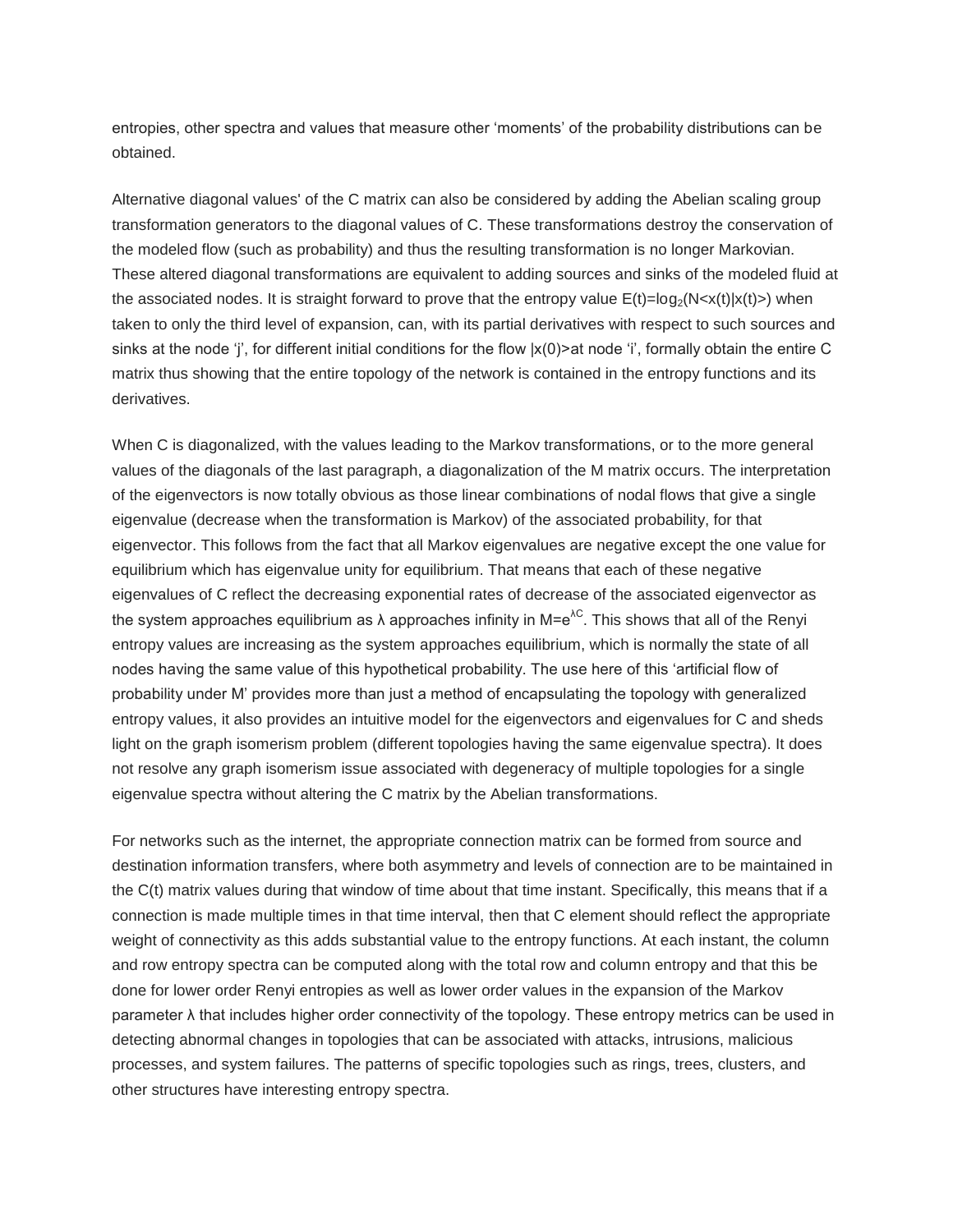entropies, other spectra and values that measure other 'moments' of the probability distributions can be obtained.

Alternative diagonal values' of the C matrix can also be considered by adding the Abelian scaling group transformation generators to the diagonal values of C. These transformations destroy the conservation of the modeled flow (such as probability) and thus the resulting transformation is no longer Markovian. These altered diagonal transformations are equivalent to adding sources and sinks of the modeled fluid at the associated nodes. It is straight forward to prove that the entropy value  $E(t)=\log_2(N< x(t)|x(t)>)$  when taken to only the third level of expansion, can, with its partial derivatives with respect to such sources and sinks at the node 'j', for different initial conditions for the flow  $|x(0)\rangle$  at node 'i', formally obtain the entire C matrix thus showing that the entire topology of the network is contained in the entropy functions and its derivatives.

When C is diagonalized, with the values leading to the Markov transformations, or to the more general values of the diagonals of the last paragraph, a diagonalization of the M matrix occurs. The interpretation of the eigenvectors is now totally obvious as those linear combinations of nodal flows that give a single eigenvalue (decrease when the transformation is Markov) of the associated probability, for that eigenvector. This follows from the fact that all Markov eigenvalues are negative except the one value for equilibrium which has eigenvalue unity for equilibrium. That means that each of these negative eigenvalues of C reflect the decreasing exponential rates of decrease of the associated eigenvector as the system approaches equilibrium as  $\lambda$  approaches infinity in M=e<sup> $\lambda$ C</sup>. This shows that all of the Renyi entropy values are increasing as the system approaches equilibrium, which is normally the state of all nodes having the same value of this hypothetical probability. The use here of this 'artificial flow of probability under M' provides more than just a method of encapsulating the topology with generalized entropy values, it also provides an intuitive model for the eigenvectors and eigenvalues for C and sheds light on the graph isomerism problem (different topologies having the same eigenvalue spectra). It does not resolve any graph isomerism issue associated with degeneracy of multiple topologies for a single eigenvalue spectra without altering the C matrix by the Abelian transformations.

For networks such as the internet, the appropriate connection matrix can be formed from source and destination information transfers, where both asymmetry and levels of connection are to be maintained in the C(t) matrix values during that window of time about that time instant. Specifically, this means that if a connection is made multiple times in that time interval, then that C element should reflect the appropriate weight of connectivity as this adds substantial value to the entropy functions. At each instant, the column and row entropy spectra can be computed along with the total row and column entropy and that this be done for lower order Renyi entropies as well as lower order values in the expansion of the Markov parameter λ that includes higher order connectivity of the topology. These entropy metrics can be used in detecting abnormal changes in topologies that can be associated with attacks, intrusions, malicious processes, and system failures. The patterns of specific topologies such as rings, trees, clusters, and other structures have interesting entropy spectra.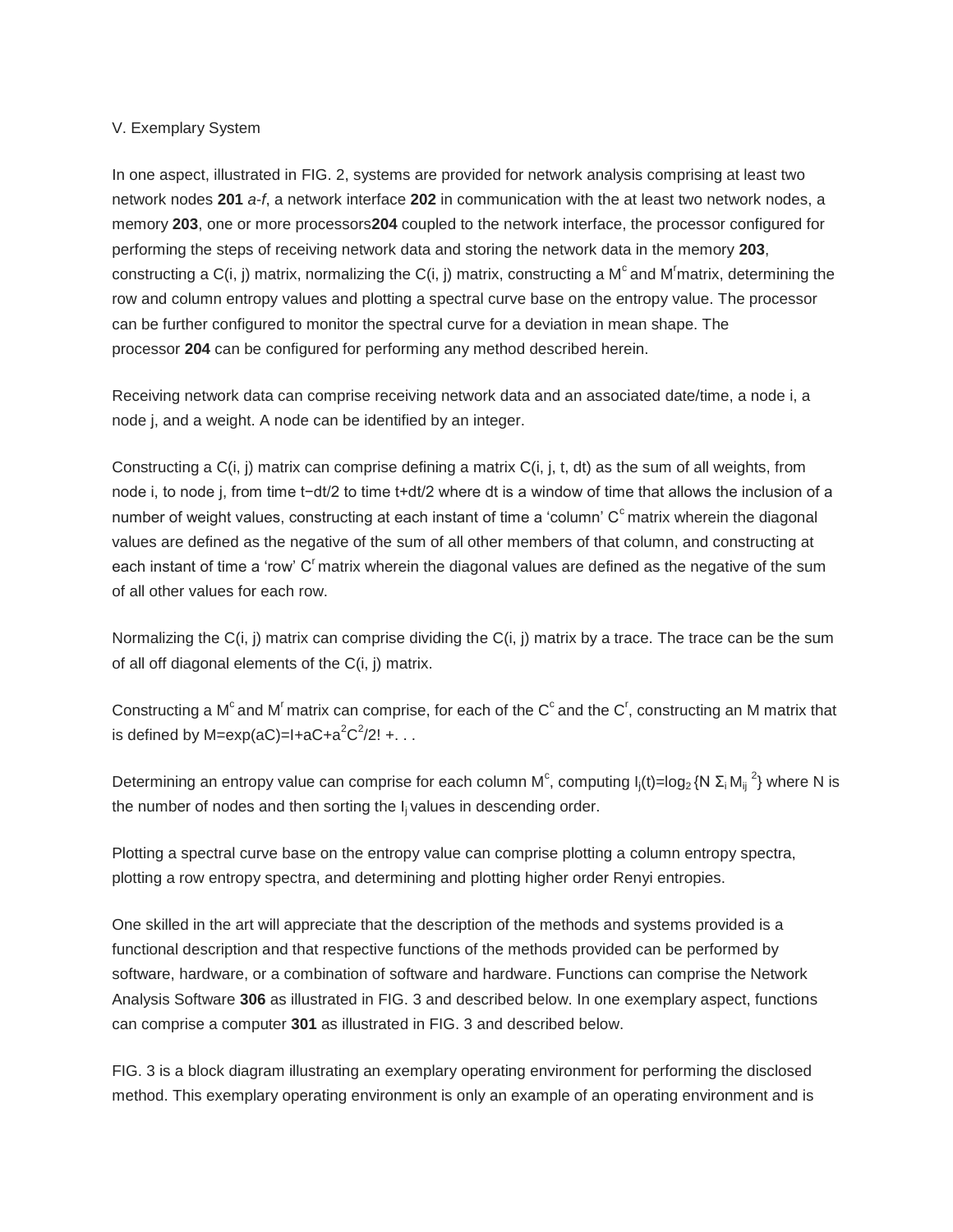#### V. Exemplary System

In one aspect, illustrated in FIG. 2, systems are provided for network analysis comprising at least two network nodes **201** *a*-*f*, a network interface **202** in communication with the at least two network nodes, a memory **203**, one or more processors**204** coupled to the network interface, the processor configured for performing the steps of receiving network data and storing the network data in the memory **203**, constructing a C(i, j) matrix, normalizing the C(i, j) matrix, constructing a M<sup>c</sup> and M<sup>r</sup>matrix, determining the row and column entropy values and plotting a spectral curve base on the entropy value. The processor can be further configured to monitor the spectral curve for a deviation in mean shape. The processor **204** can be configured for performing any method described herein.

Receiving network data can comprise receiving network data and an associated date/time, a node i, a node j, and a weight. A node can be identified by an integer.

Constructing a C(i, j) matrix can comprise defining a matrix C(i, j, t, dt) as the sum of all weights, from node i, to node j, from time t−dt/2 to time t+dt/2 where dt is a window of time that allows the inclusion of a number of weight values, constructing at each instant of time a 'column'  $C<sup>c</sup>$  matrix wherein the diagonal values are defined as the negative of the sum of all other members of that column, and constructing at each instant of time a 'row'  $C<sup>r</sup>$  matrix wherein the diagonal values are defined as the negative of the sum of all other values for each row.

Normalizing the C(i, j) matrix can comprise dividing the C(i, j) matrix by a trace. The trace can be the sum of all off diagonal elements of the C(i, j) matrix.

Constructing a M<sup>c</sup> and M<sup>r</sup> matrix can comprise, for each of the C<sup>c</sup> and the C<sup>r</sup>, constructing an M matrix that is defined by M=exp(aC)=I+aC+a<sup>2</sup>C<sup>2</sup>/2! +. . .

Determining an entropy value can comprise for each column M<sup>c</sup>, computing  $I_j(t) = \log_2 (N \sum_i M_{ij}^2)$  where N is the number of nodes and then sorting the I<sub>i</sub> values in descending order.

Plotting a spectral curve base on the entropy value can comprise plotting a column entropy spectra, plotting a row entropy spectra, and determining and plotting higher order Renyi entropies.

One skilled in the art will appreciate that the description of the methods and systems provided is a functional description and that respective functions of the methods provided can be performed by software, hardware, or a combination of software and hardware. Functions can comprise the Network Analysis Software **306** as illustrated in FIG. 3 and described below. In one exemplary aspect, functions can comprise a computer **301** as illustrated in FIG. 3 and described below.

FIG. 3 is a block diagram illustrating an exemplary operating environment for performing the disclosed method. This exemplary operating environment is only an example of an operating environment and is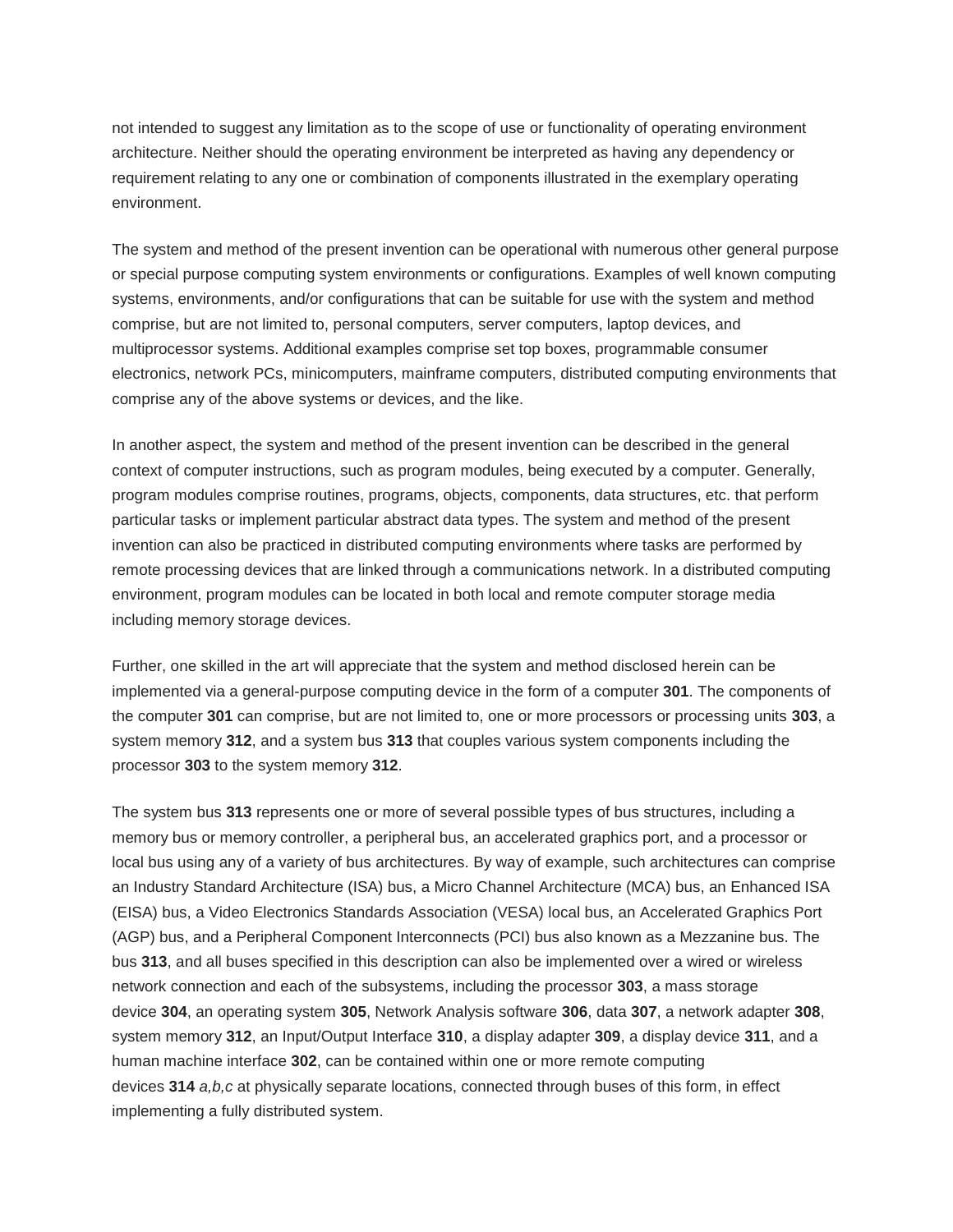not intended to suggest any limitation as to the scope of use or functionality of operating environment architecture. Neither should the operating environment be interpreted as having any dependency or requirement relating to any one or combination of components illustrated in the exemplary operating environment.

The system and method of the present invention can be operational with numerous other general purpose or special purpose computing system environments or configurations. Examples of well known computing systems, environments, and/or configurations that can be suitable for use with the system and method comprise, but are not limited to, personal computers, server computers, laptop devices, and multiprocessor systems. Additional examples comprise set top boxes, programmable consumer electronics, network PCs, minicomputers, mainframe computers, distributed computing environments that comprise any of the above systems or devices, and the like.

In another aspect, the system and method of the present invention can be described in the general context of computer instructions, such as program modules, being executed by a computer. Generally, program modules comprise routines, programs, objects, components, data structures, etc. that perform particular tasks or implement particular abstract data types. The system and method of the present invention can also be practiced in distributed computing environments where tasks are performed by remote processing devices that are linked through a communications network. In a distributed computing environment, program modules can be located in both local and remote computer storage media including memory storage devices.

Further, one skilled in the art will appreciate that the system and method disclosed herein can be implemented via a general-purpose computing device in the form of a computer **301**. The components of the computer **301** can comprise, but are not limited to, one or more processors or processing units **303**, a system memory **312**, and a system bus **313** that couples various system components including the processor **303** to the system memory **312**.

The system bus **313** represents one or more of several possible types of bus structures, including a memory bus or memory controller, a peripheral bus, an accelerated graphics port, and a processor or local bus using any of a variety of bus architectures. By way of example, such architectures can comprise an Industry Standard Architecture (ISA) bus, a Micro Channel Architecture (MCA) bus, an Enhanced ISA (EISA) bus, a Video Electronics Standards Association (VESA) local bus, an Accelerated Graphics Port (AGP) bus, and a Peripheral Component Interconnects (PCI) bus also known as a Mezzanine bus. The bus **313**, and all buses specified in this description can also be implemented over a wired or wireless network connection and each of the subsystems, including the processor **303**, a mass storage device **304**, an operating system **305**, Network Analysis software **306**, data **307**, a network adapter **308**, system memory **312**, an Input/Output Interface **310**, a display adapter **309**, a display device **311**, and a human machine interface **302**, can be contained within one or more remote computing devices **314** *a,b,c* at physically separate locations, connected through buses of this form, in effect implementing a fully distributed system.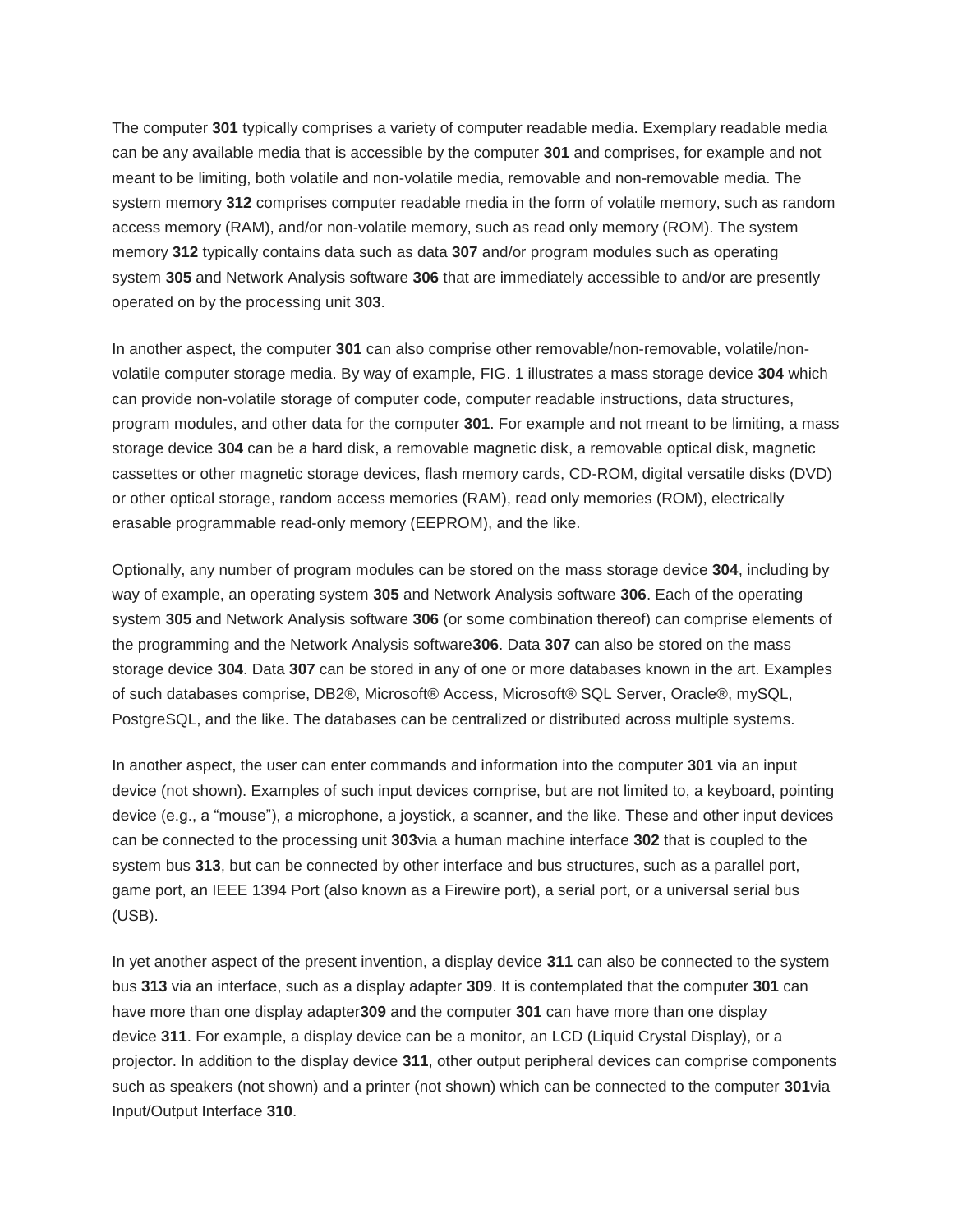The computer **301** typically comprises a variety of computer readable media. Exemplary readable media can be any available media that is accessible by the computer **301** and comprises, for example and not meant to be limiting, both volatile and non-volatile media, removable and non-removable media. The system memory **312** comprises computer readable media in the form of volatile memory, such as random access memory (RAM), and/or non-volatile memory, such as read only memory (ROM). The system memory **312** typically contains data such as data **307** and/or program modules such as operating system **305** and Network Analysis software **306** that are immediately accessible to and/or are presently operated on by the processing unit **303**.

In another aspect, the computer **301** can also comprise other removable/non-removable, volatile/nonvolatile computer storage media. By way of example, FIG. 1 illustrates a mass storage device **304** which can provide non-volatile storage of computer code, computer readable instructions, data structures, program modules, and other data for the computer **301**. For example and not meant to be limiting, a mass storage device **304** can be a hard disk, a removable magnetic disk, a removable optical disk, magnetic cassettes or other magnetic storage devices, flash memory cards, CD-ROM, digital versatile disks (DVD) or other optical storage, random access memories (RAM), read only memories (ROM), electrically erasable programmable read-only memory (EEPROM), and the like.

Optionally, any number of program modules can be stored on the mass storage device **304**, including by way of example, an operating system **305** and Network Analysis software **306**. Each of the operating system **305** and Network Analysis software **306** (or some combination thereof) can comprise elements of the programming and the Network Analysis software**306**. Data **307** can also be stored on the mass storage device **304**. Data **307** can be stored in any of one or more databases known in the art. Examples of such databases comprise, DB2®, Microsoft® Access, Microsoft® SQL Server, Oracle®, mySQL, PostgreSQL, and the like. The databases can be centralized or distributed across multiple systems.

In another aspect, the user can enter commands and information into the computer **301** via an input device (not shown). Examples of such input devices comprise, but are not limited to, a keyboard, pointing device (e.g., a "mouse"), a microphone, a joystick, a scanner, and the like. These and other input devices can be connected to the processing unit **303**via a human machine interface **302** that is coupled to the system bus **313**, but can be connected by other interface and bus structures, such as a parallel port, game port, an IEEE 1394 Port (also known as a Firewire port), a serial port, or a universal serial bus (USB).

In yet another aspect of the present invention, a display device **311** can also be connected to the system bus **313** via an interface, such as a display adapter **309**. It is contemplated that the computer **301** can have more than one display adapter**309** and the computer **301** can have more than one display device **311**. For example, a display device can be a monitor, an LCD (Liquid Crystal Display), or a projector. In addition to the display device **311**, other output peripheral devices can comprise components such as speakers (not shown) and a printer (not shown) which can be connected to the computer **301**via Input/Output Interface **310**.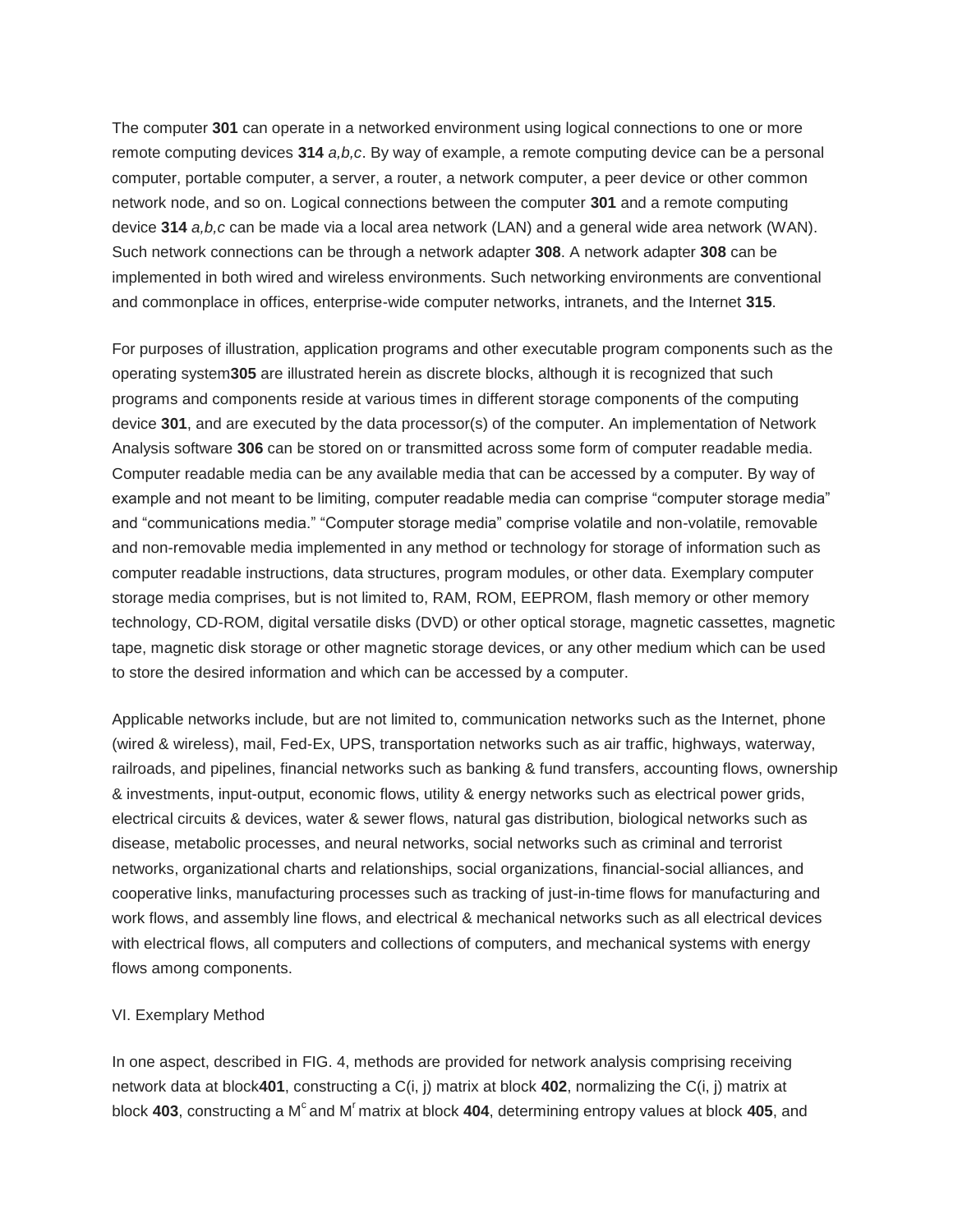The computer **301** can operate in a networked environment using logical connections to one or more remote computing devices **314** *a,b,c*. By way of example, a remote computing device can be a personal computer, portable computer, a server, a router, a network computer, a peer device or other common network node, and so on. Logical connections between the computer **301** and a remote computing device **314** *a,b,c* can be made via a local area network (LAN) and a general wide area network (WAN). Such network connections can be through a network adapter **308**. A network adapter **308** can be implemented in both wired and wireless environments. Such networking environments are conventional and commonplace in offices, enterprise-wide computer networks, intranets, and the Internet **315**.

For purposes of illustration, application programs and other executable program components such as the operating system**305** are illustrated herein as discrete blocks, although it is recognized that such programs and components reside at various times in different storage components of the computing device **301**, and are executed by the data processor(s) of the computer. An implementation of Network Analysis software **306** can be stored on or transmitted across some form of computer readable media. Computer readable media can be any available media that can be accessed by a computer. By way of example and not meant to be limiting, computer readable media can comprise "computer storage media" and "communications media." "Computer storage media" comprise volatile and non-volatile, removable and non-removable media implemented in any method or technology for storage of information such as computer readable instructions, data structures, program modules, or other data. Exemplary computer storage media comprises, but is not limited to, RAM, ROM, EEPROM, flash memory or other memory technology, CD-ROM, digital versatile disks (DVD) or other optical storage, magnetic cassettes, magnetic tape, magnetic disk storage or other magnetic storage devices, or any other medium which can be used to store the desired information and which can be accessed by a computer.

Applicable networks include, but are not limited to, communication networks such as the Internet, phone (wired & wireless), mail, Fed-Ex, UPS, transportation networks such as air traffic, highways, waterway, railroads, and pipelines, financial networks such as banking & fund transfers, accounting flows, ownership & investments, input-output, economic flows, utility & energy networks such as electrical power grids, electrical circuits & devices, water & sewer flows, natural gas distribution, biological networks such as disease, metabolic processes, and neural networks, social networks such as criminal and terrorist networks, organizational charts and relationships, social organizations, financial-social alliances, and cooperative links, manufacturing processes such as tracking of just-in-time flows for manufacturing and work flows, and assembly line flows, and electrical & mechanical networks such as all electrical devices with electrical flows, all computers and collections of computers, and mechanical systems with energy flows among components.

#### VI. Exemplary Method

In one aspect, described in FIG. 4, methods are provided for network analysis comprising receiving network data at block**401**, constructing a C(i, j) matrix at block **402**, normalizing the C(i, j) matrix at block 403, constructing a M<sup>c</sup> and M<sup>r</sup> matrix at block 404, determining entropy values at block 405, and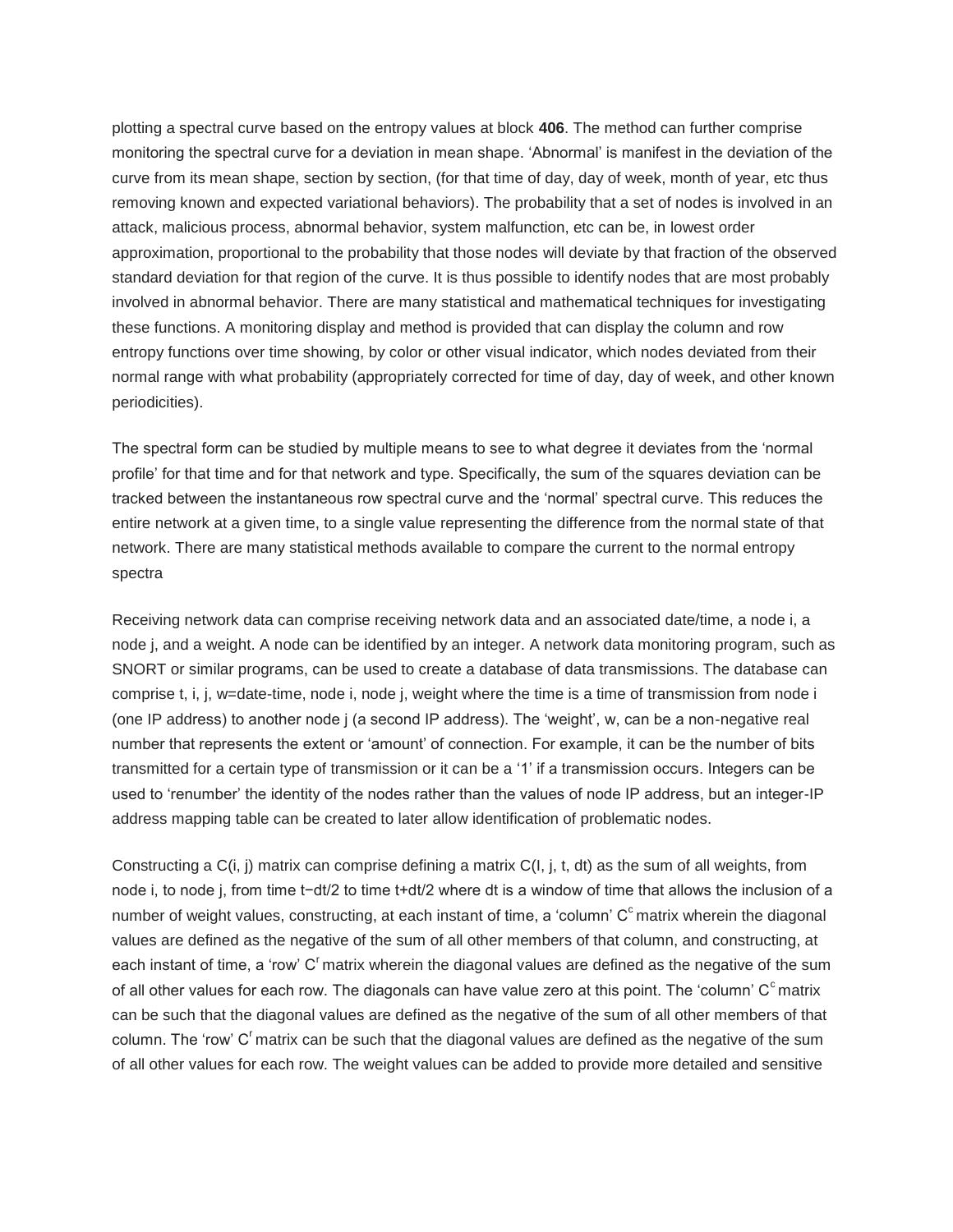plotting a spectral curve based on the entropy values at block **406**. The method can further comprise monitoring the spectral curve for a deviation in mean shape. 'Abnormal' is manifest in the deviation of the curve from its mean shape, section by section, (for that time of day, day of week, month of year, etc thus removing known and expected variational behaviors). The probability that a set of nodes is involved in an attack, malicious process, abnormal behavior, system malfunction, etc can be, in lowest order approximation, proportional to the probability that those nodes will deviate by that fraction of the observed standard deviation for that region of the curve. It is thus possible to identify nodes that are most probably involved in abnormal behavior. There are many statistical and mathematical techniques for investigating these functions. A monitoring display and method is provided that can display the column and row entropy functions over time showing, by color or other visual indicator, which nodes deviated from their normal range with what probability (appropriately corrected for time of day, day of week, and other known periodicities).

The spectral form can be studied by multiple means to see to what degree it deviates from the 'normal profile' for that time and for that network and type. Specifically, the sum of the squares deviation can be tracked between the instantaneous row spectral curve and the 'normal' spectral curve. This reduces the entire network at a given time, to a single value representing the difference from the normal state of that network. There are many statistical methods available to compare the current to the normal entropy spectra

Receiving network data can comprise receiving network data and an associated date/time, a node i, a node j, and a weight. A node can be identified by an integer. A network data monitoring program, such as SNORT or similar programs, can be used to create a database of data transmissions. The database can comprise t, i, j, w=date-time, node i, node j, weight where the time is a time of transmission from node i (one IP address) to another node j (a second IP address). The 'weight', w, can be a non-negative real number that represents the extent or 'amount' of connection. For example, it can be the number of bits transmitted for a certain type of transmission or it can be a '1' if a transmission occurs. Integers can be used to 'renumber' the identity of the nodes rather than the values of node IP address, but an integer-IP address mapping table can be created to later allow identification of problematic nodes.

Constructing a C(i, j) matrix can comprise defining a matrix C(I, j, t, dt) as the sum of all weights, from node i, to node j, from time t−dt/2 to time t+dt/2 where dt is a window of time that allows the inclusion of a number of weight values, constructing, at each instant of time, a 'column' C<sup>c</sup> matrix wherein the diagonal values are defined as the negative of the sum of all other members of that column, and constructing, at each instant of time, a 'row' C<sup>r</sup> matrix wherein the diagonal values are defined as the negative of the sum of all other values for each row. The diagonals can have value zero at this point. The 'column'  $C<sup>c</sup>$  matrix can be such that the diagonal values are defined as the negative of the sum of all other members of that column. The 'row'  $C<sup>r</sup>$  matrix can be such that the diagonal values are defined as the negative of the sum of all other values for each row. The weight values can be added to provide more detailed and sensitive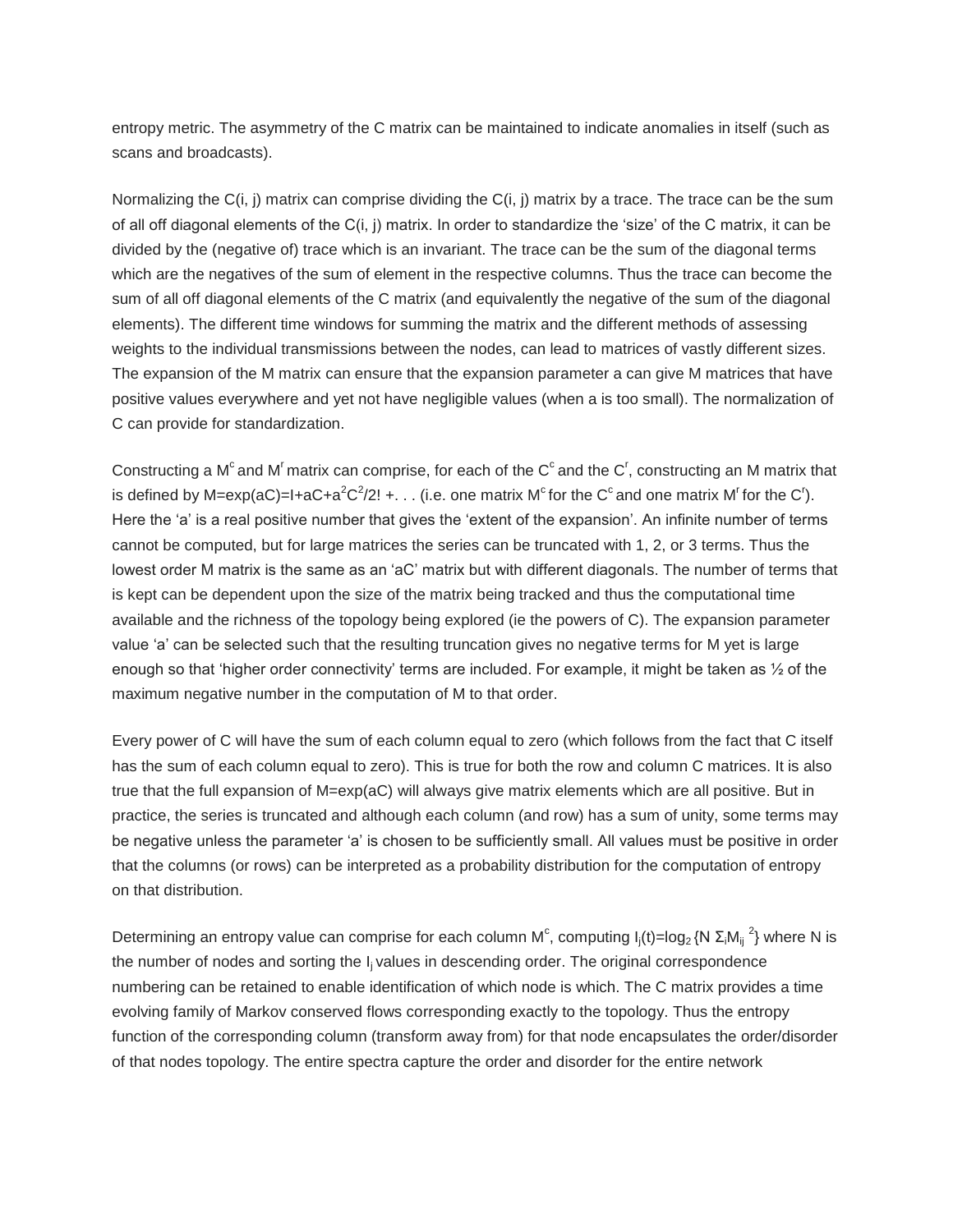entropy metric. The asymmetry of the C matrix can be maintained to indicate anomalies in itself (such as scans and broadcasts).

Normalizing the C(i, j) matrix can comprise dividing the C(i, j) matrix by a trace. The trace can be the sum of all off diagonal elements of the C(i, j) matrix. In order to standardize the 'size' of the C matrix, it can be divided by the (negative of) trace which is an invariant. The trace can be the sum of the diagonal terms which are the negatives of the sum of element in the respective columns. Thus the trace can become the sum of all off diagonal elements of the C matrix (and equivalently the negative of the sum of the diagonal elements). The different time windows for summing the matrix and the different methods of assessing weights to the individual transmissions between the nodes, can lead to matrices of vastly different sizes. The expansion of the M matrix can ensure that the expansion parameter a can give M matrices that have positive values everywhere and yet not have negligible values (when a is too small). The normalization of C can provide for standardization.

Constructing a M<sup>c</sup> and M<sup>r</sup> matrix can comprise, for each of the C<sup>c</sup> and the C<sup>r</sup>, constructing an M matrix that is defined by M=exp(aC)=I+aC+a<sup>2</sup>C<sup>2</sup>/2! +. . . (i.e. one matrix M<sup>c</sup> for the C<sup>c</sup> and one matrix M<sup>r</sup> for the C<sup>r</sup>). Here the 'a' is a real positive number that gives the 'extent of the expansion'. An infinite number of terms cannot be computed, but for large matrices the series can be truncated with 1, 2, or 3 terms. Thus the lowest order M matrix is the same as an 'aC' matrix but with different diagonals. The number of terms that is kept can be dependent upon the size of the matrix being tracked and thus the computational time available and the richness of the topology being explored (ie the powers of C). The expansion parameter value 'a' can be selected such that the resulting truncation gives no negative terms for M yet is large enough so that 'higher order connectivity' terms are included. For example, it might be taken as ½ of the maximum negative number in the computation of M to that order.

Every power of C will have the sum of each column equal to zero (which follows from the fact that C itself has the sum of each column equal to zero). This is true for both the row and column C matrices. It is also true that the full expansion of M=exp(aC) will always give matrix elements which are all positive. But in practice, the series is truncated and although each column (and row) has a sum of unity, some terms may be negative unless the parameter 'a' is chosen to be sufficiently small. All values must be positive in order that the columns (or rows) can be interpreted as a probability distribution for the computation of entropy on that distribution.

Determining an entropy value can comprise for each column M<sup>c</sup>, computing  $I_j(t) = \log_2 \{ N |\Sigma_i M_{ij}|^2 \}$  where N is the number of nodes and sorting the I<sub>i</sub> values in descending order. The original correspondence numbering can be retained to enable identification of which node is which. The C matrix provides a time evolving family of Markov conserved flows corresponding exactly to the topology. Thus the entropy function of the corresponding column (transform away from) for that node encapsulates the order/disorder of that nodes topology. The entire spectra capture the order and disorder for the entire network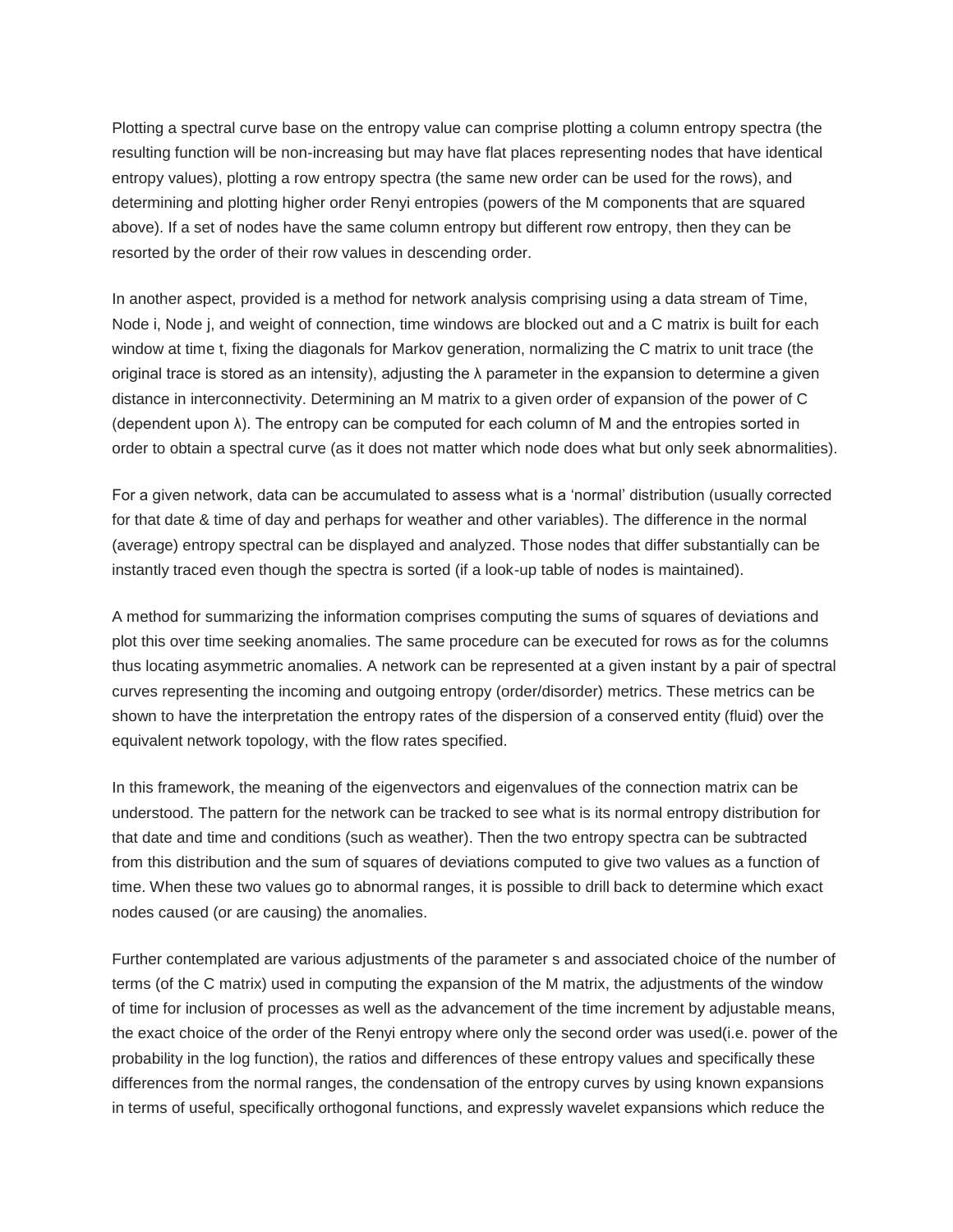Plotting a spectral curve base on the entropy value can comprise plotting a column entropy spectra (the resulting function will be non-increasing but may have flat places representing nodes that have identical entropy values), plotting a row entropy spectra (the same new order can be used for the rows), and determining and plotting higher order Renyi entropies (powers of the M components that are squared above). If a set of nodes have the same column entropy but different row entropy, then they can be resorted by the order of their row values in descending order.

In another aspect, provided is a method for network analysis comprising using a data stream of Time, Node i, Node j, and weight of connection, time windows are blocked out and a C matrix is built for each window at time t, fixing the diagonals for Markov generation, normalizing the C matrix to unit trace (the original trace is stored as an intensity), adjusting the  $\lambda$  parameter in the expansion to determine a given distance in interconnectivity. Determining an M matrix to a given order of expansion of the power of C (dependent upon λ). The entropy can be computed for each column of M and the entropies sorted in order to obtain a spectral curve (as it does not matter which node does what but only seek abnormalities).

For a given network, data can be accumulated to assess what is a 'normal' distribution (usually corrected for that date & time of day and perhaps for weather and other variables). The difference in the normal (average) entropy spectral can be displayed and analyzed. Those nodes that differ substantially can be instantly traced even though the spectra is sorted (if a look-up table of nodes is maintained).

A method for summarizing the information comprises computing the sums of squares of deviations and plot this over time seeking anomalies. The same procedure can be executed for rows as for the columns thus locating asymmetric anomalies. A network can be represented at a given instant by a pair of spectral curves representing the incoming and outgoing entropy (order/disorder) metrics. These metrics can be shown to have the interpretation the entropy rates of the dispersion of a conserved entity (fluid) over the equivalent network topology, with the flow rates specified.

In this framework, the meaning of the eigenvectors and eigenvalues of the connection matrix can be understood. The pattern for the network can be tracked to see what is its normal entropy distribution for that date and time and conditions (such as weather). Then the two entropy spectra can be subtracted from this distribution and the sum of squares of deviations computed to give two values as a function of time. When these two values go to abnormal ranges, it is possible to drill back to determine which exact nodes caused (or are causing) the anomalies.

Further contemplated are various adjustments of the parameter s and associated choice of the number of terms (of the C matrix) used in computing the expansion of the M matrix, the adjustments of the window of time for inclusion of processes as well as the advancement of the time increment by adjustable means, the exact choice of the order of the Renyi entropy where only the second order was used(i.e. power of the probability in the log function), the ratios and differences of these entropy values and specifically these differences from the normal ranges, the condensation of the entropy curves by using known expansions in terms of useful, specifically orthogonal functions, and expressly wavelet expansions which reduce the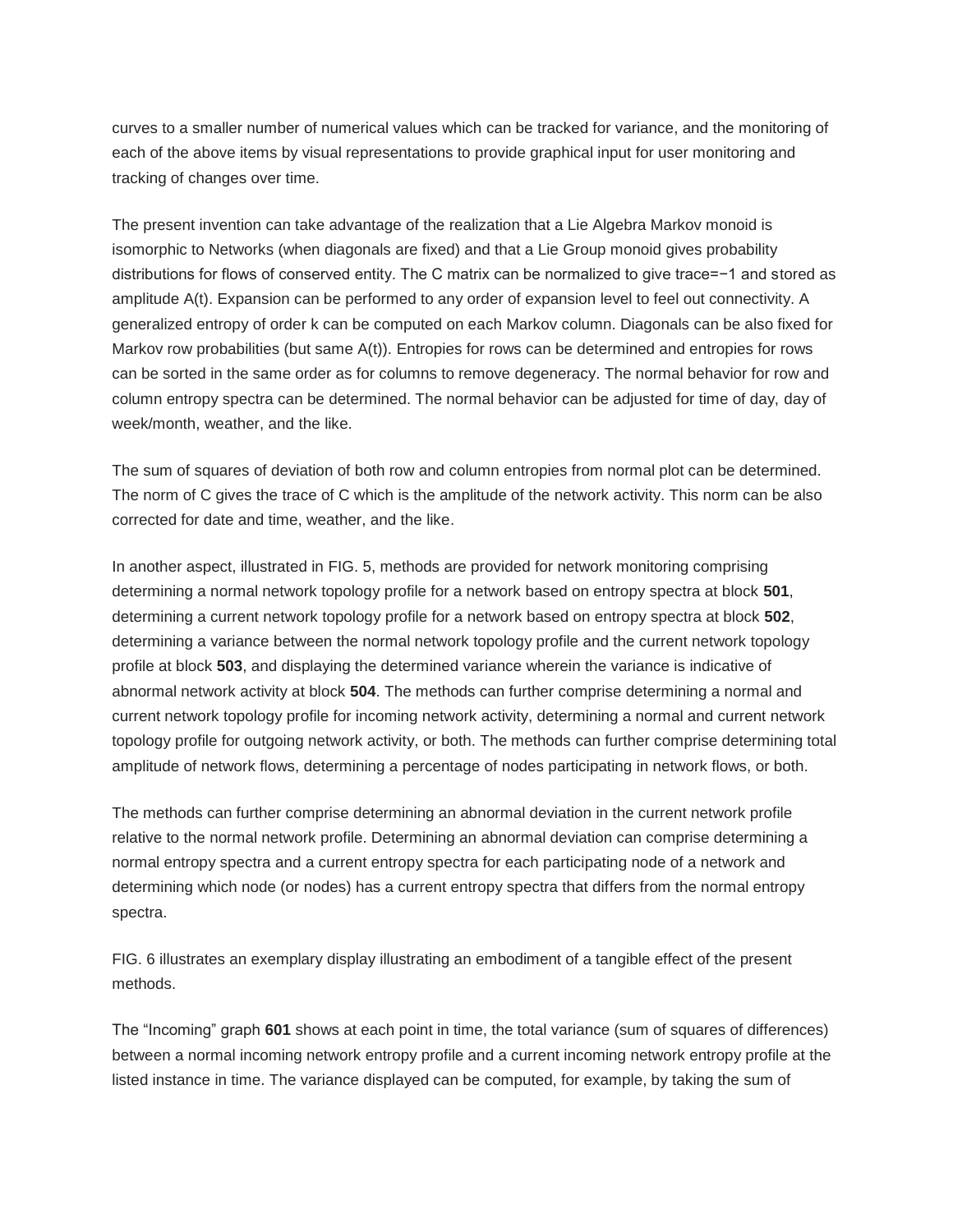curves to a smaller number of numerical values which can be tracked for variance, and the monitoring of each of the above items by visual representations to provide graphical input for user monitoring and tracking of changes over time.

The present invention can take advantage of the realization that a Lie Algebra Markov monoid is isomorphic to Networks (when diagonals are fixed) and that a Lie Group monoid gives probability distributions for flows of conserved entity. The C matrix can be normalized to give trace=−1 and stored as amplitude A(t). Expansion can be performed to any order of expansion level to feel out connectivity. A generalized entropy of order k can be computed on each Markov column. Diagonals can be also fixed for Markov row probabilities (but same A(t)). Entropies for rows can be determined and entropies for rows can be sorted in the same order as for columns to remove degeneracy. The normal behavior for row and column entropy spectra can be determined. The normal behavior can be adjusted for time of day, day of week/month, weather, and the like.

The sum of squares of deviation of both row and column entropies from normal plot can be determined. The norm of C gives the trace of C which is the amplitude of the network activity. This norm can be also corrected for date and time, weather, and the like.

In another aspect, illustrated in FIG. 5, methods are provided for network monitoring comprising determining a normal network topology profile for a network based on entropy spectra at block **501**, determining a current network topology profile for a network based on entropy spectra at block **502**, determining a variance between the normal network topology profile and the current network topology profile at block **503**, and displaying the determined variance wherein the variance is indicative of abnormal network activity at block **504**. The methods can further comprise determining a normal and current network topology profile for incoming network activity, determining a normal and current network topology profile for outgoing network activity, or both. The methods can further comprise determining total amplitude of network flows, determining a percentage of nodes participating in network flows, or both.

The methods can further comprise determining an abnormal deviation in the current network profile relative to the normal network profile. Determining an abnormal deviation can comprise determining a normal entropy spectra and a current entropy spectra for each participating node of a network and determining which node (or nodes) has a current entropy spectra that differs from the normal entropy spectra.

FIG. 6 illustrates an exemplary display illustrating an embodiment of a tangible effect of the present methods.

The "Incoming" graph **601** shows at each point in time, the total variance (sum of squares of differences) between a normal incoming network entropy profile and a current incoming network entropy profile at the listed instance in time. The variance displayed can be computed, for example, by taking the sum of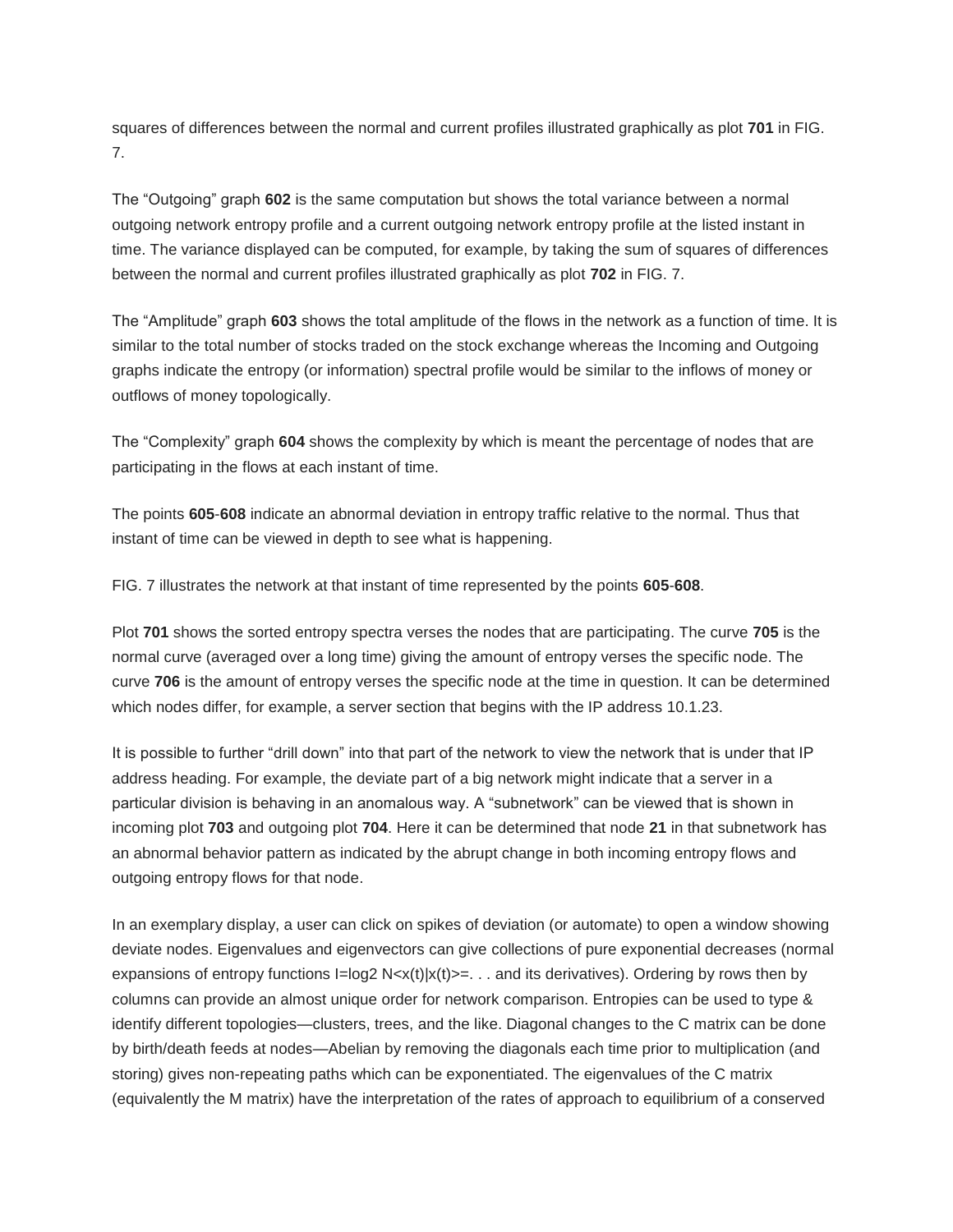squares of differences between the normal and current profiles illustrated graphically as plot **701** in FIG. 7.

The "Outgoing" graph **602** is the same computation but shows the total variance between a normal outgoing network entropy profile and a current outgoing network entropy profile at the listed instant in time. The variance displayed can be computed, for example, by taking the sum of squares of differences between the normal and current profiles illustrated graphically as plot **702** in FIG. 7.

The "Amplitude" graph **603** shows the total amplitude of the flows in the network as a function of time. It is similar to the total number of stocks traded on the stock exchange whereas the Incoming and Outgoing graphs indicate the entropy (or information) spectral profile would be similar to the inflows of money or outflows of money topologically.

The "Complexity" graph **604** shows the complexity by which is meant the percentage of nodes that are participating in the flows at each instant of time.

The points **605**-**608** indicate an abnormal deviation in entropy traffic relative to the normal. Thus that instant of time can be viewed in depth to see what is happening.

FIG. 7 illustrates the network at that instant of time represented by the points **605**-**608**.

Plot **701** shows the sorted entropy spectra verses the nodes that are participating. The curve **705** is the normal curve (averaged over a long time) giving the amount of entropy verses the specific node. The curve **706** is the amount of entropy verses the specific node at the time in question. It can be determined which nodes differ, for example, a server section that begins with the IP address 10.1.23.

It is possible to further "drill down" into that part of the network to view the network that is under that IP address heading. For example, the deviate part of a big network might indicate that a server in a particular division is behaving in an anomalous way. A "subnetwork" can be viewed that is shown in incoming plot **703** and outgoing plot **704**. Here it can be determined that node **21** in that subnetwork has an abnormal behavior pattern as indicated by the abrupt change in both incoming entropy flows and outgoing entropy flows for that node.

In an exemplary display, a user can click on spikes of deviation (or automate) to open a window showing deviate nodes. Eigenvalues and eigenvectors can give collections of pure exponential decreases (normal expansions of entropy functions  $I = \log 2 N < x(t) |x(t) > = ...$  and its derivatives). Ordering by rows then by columns can provide an almost unique order for network comparison. Entropies can be used to type & identify different topologies—clusters, trees, and the like. Diagonal changes to the C matrix can be done by birth/death feeds at nodes—Abelian by removing the diagonals each time prior to multiplication (and storing) gives non-repeating paths which can be exponentiated. The eigenvalues of the C matrix (equivalently the M matrix) have the interpretation of the rates of approach to equilibrium of a conserved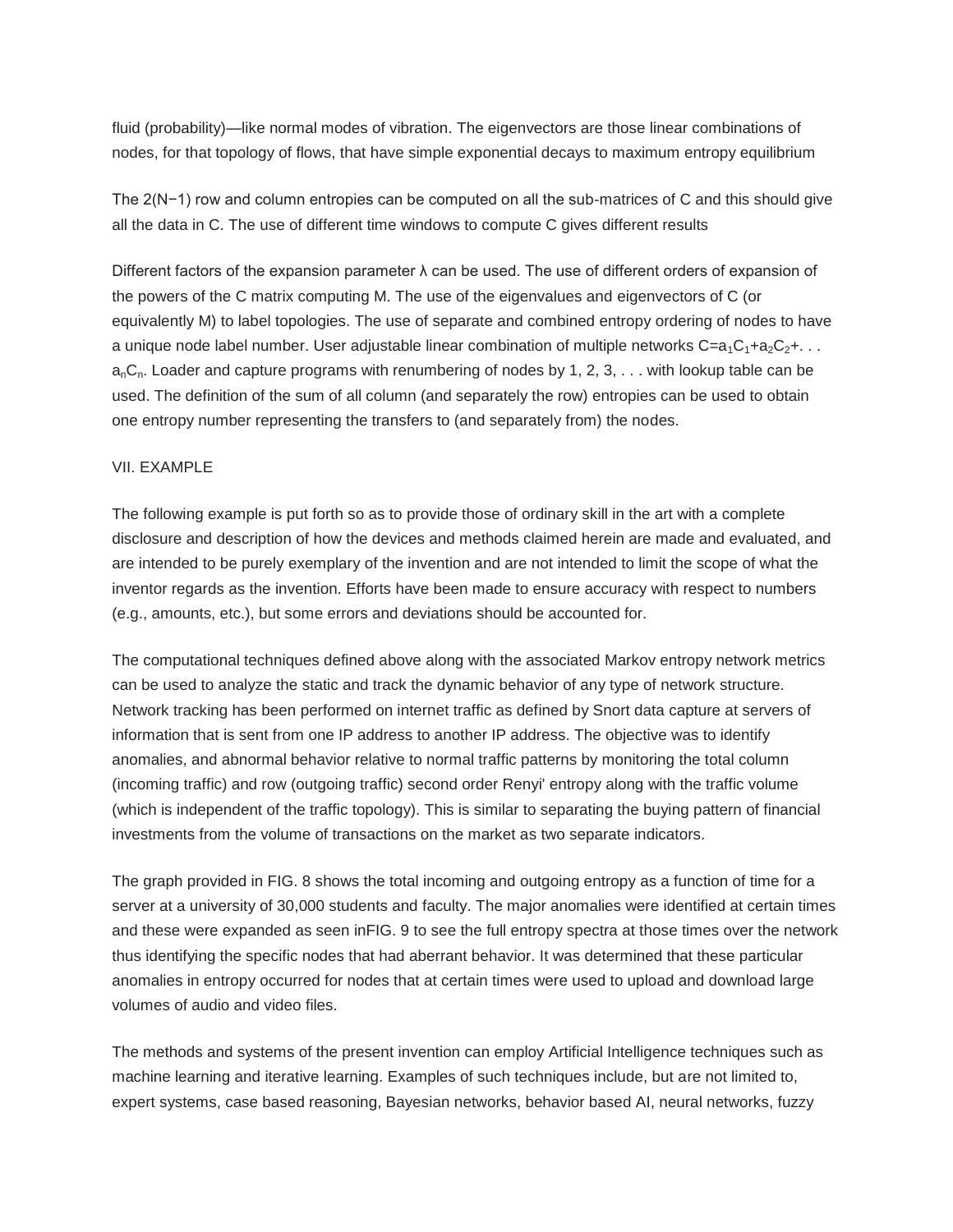fluid (probability)—like normal modes of vibration. The eigenvectors are those linear combinations of nodes, for that topology of flows, that have simple exponential decays to maximum entropy equilibrium

The 2(N−1) row and column entropies can be computed on all the sub-matrices of C and this should give all the data in C. The use of different time windows to compute C gives different results

Different factors of the expansion parameter  $\lambda$  can be used. The use of different orders of expansion of the powers of the C matrix computing M. The use of the eigenvalues and eigenvectors of C (or equivalently M) to label topologies. The use of separate and combined entropy ordering of nodes to have a unique node label number. User adjustable linear combination of multiple networks  $C=a_1C_1+a_2C_2+\ldots$  $a_nC_n$ . Loader and capture programs with renumbering of nodes by 1, 2, 3,  $\dots$  with lookup table can be used. The definition of the sum of all column (and separately the row) entropies can be used to obtain one entropy number representing the transfers to (and separately from) the nodes.

#### VII. EXAMPLE

The following example is put forth so as to provide those of ordinary skill in the art with a complete disclosure and description of how the devices and methods claimed herein are made and evaluated, and are intended to be purely exemplary of the invention and are not intended to limit the scope of what the inventor regards as the invention. Efforts have been made to ensure accuracy with respect to numbers (e.g., amounts, etc.), but some errors and deviations should be accounted for.

The computational techniques defined above along with the associated Markov entropy network metrics can be used to analyze the static and track the dynamic behavior of any type of network structure. Network tracking has been performed on internet traffic as defined by Snort data capture at servers of information that is sent from one IP address to another IP address. The objective was to identify anomalies, and abnormal behavior relative to normal traffic patterns by monitoring the total column (incoming traffic) and row (outgoing traffic) second order Renyi' entropy along with the traffic volume (which is independent of the traffic topology). This is similar to separating the buying pattern of financial investments from the volume of transactions on the market as two separate indicators.

The graph provided in FIG. 8 shows the total incoming and outgoing entropy as a function of time for a server at a university of 30,000 students and faculty. The major anomalies were identified at certain times and these were expanded as seen inFIG. 9 to see the full entropy spectra at those times over the network thus identifying the specific nodes that had aberrant behavior. It was determined that these particular anomalies in entropy occurred for nodes that at certain times were used to upload and download large volumes of audio and video files.

The methods and systems of the present invention can employ Artificial Intelligence techniques such as machine learning and iterative learning. Examples of such techniques include, but are not limited to, expert systems, case based reasoning, Bayesian networks, behavior based AI, neural networks, fuzzy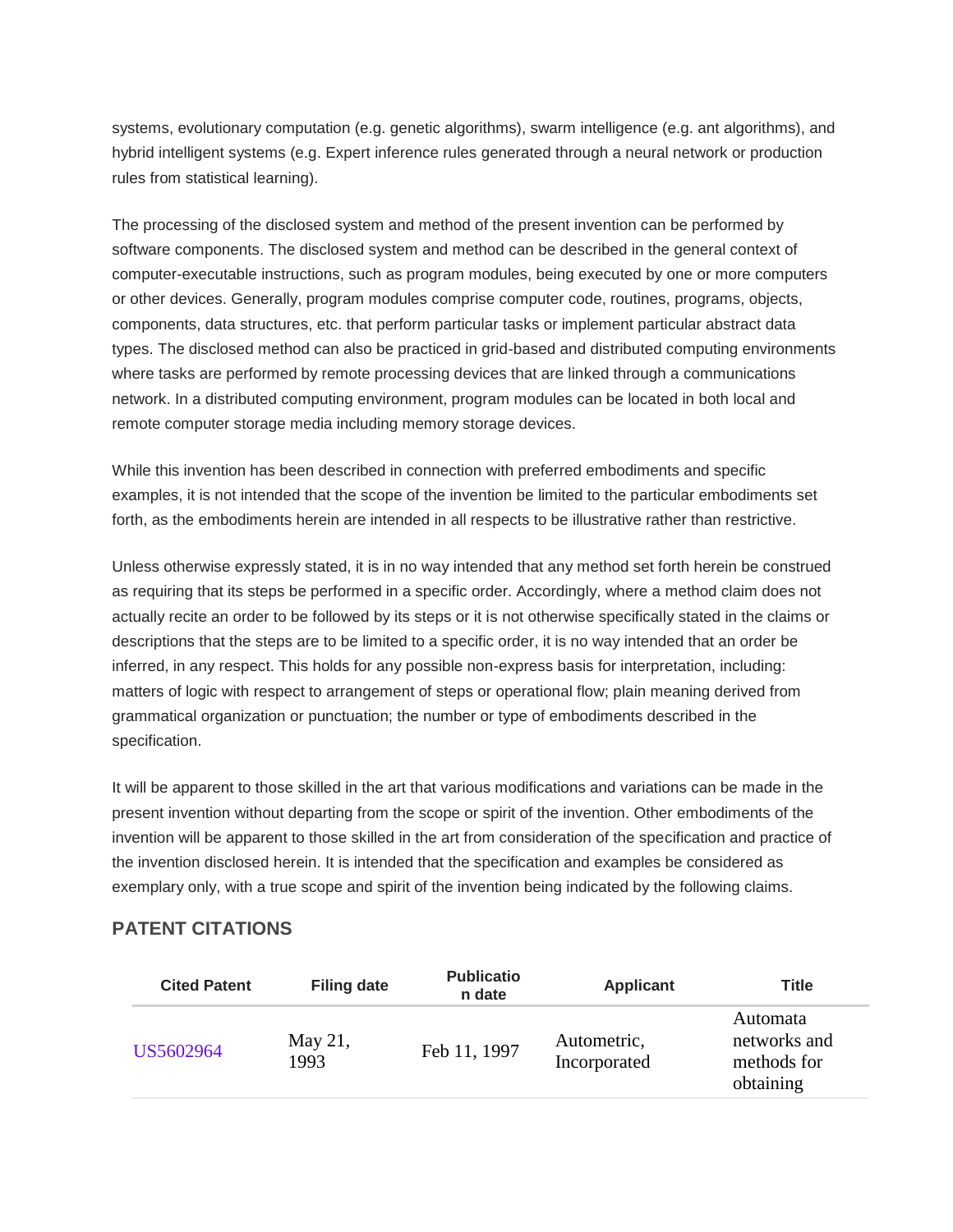systems, evolutionary computation (e.g. genetic algorithms), swarm intelligence (e.g. ant algorithms), and hybrid intelligent systems (e.g. Expert inference rules generated through a neural network or production rules from statistical learning).

The processing of the disclosed system and method of the present invention can be performed by software components. The disclosed system and method can be described in the general context of computer-executable instructions, such as program modules, being executed by one or more computers or other devices. Generally, program modules comprise computer code, routines, programs, objects, components, data structures, etc. that perform particular tasks or implement particular abstract data types. The disclosed method can also be practiced in grid-based and distributed computing environments where tasks are performed by remote processing devices that are linked through a communications network. In a distributed computing environment, program modules can be located in both local and remote computer storage media including memory storage devices.

While this invention has been described in connection with preferred embodiments and specific examples, it is not intended that the scope of the invention be limited to the particular embodiments set forth, as the embodiments herein are intended in all respects to be illustrative rather than restrictive.

Unless otherwise expressly stated, it is in no way intended that any method set forth herein be construed as requiring that its steps be performed in a specific order. Accordingly, where a method claim does not actually recite an order to be followed by its steps or it is not otherwise specifically stated in the claims or descriptions that the steps are to be limited to a specific order, it is no way intended that an order be inferred, in any respect. This holds for any possible non-express basis for interpretation, including: matters of logic with respect to arrangement of steps or operational flow; plain meaning derived from grammatical organization or punctuation; the number or type of embodiments described in the specification.

It will be apparent to those skilled in the art that various modifications and variations can be made in the present invention without departing from the scope or spirit of the invention. Other embodiments of the invention will be apparent to those skilled in the art from consideration of the specification and practice of the invention disclosed herein. It is intended that the specification and examples be considered as exemplary only, with a true scope and spirit of the invention being indicated by the following claims.

# **PATENT CITATIONS**

| <b>Cited Patent</b> | <b>Filing date</b> | <b>Publicatio</b><br>n date | <b>Applicant</b>            | Title                                                |
|---------------------|--------------------|-----------------------------|-----------------------------|------------------------------------------------------|
| US5602964           | May 21,<br>1993    | Feb 11, 1997                | Autometric,<br>Incorporated | Automata<br>networks and<br>methods for<br>obtaining |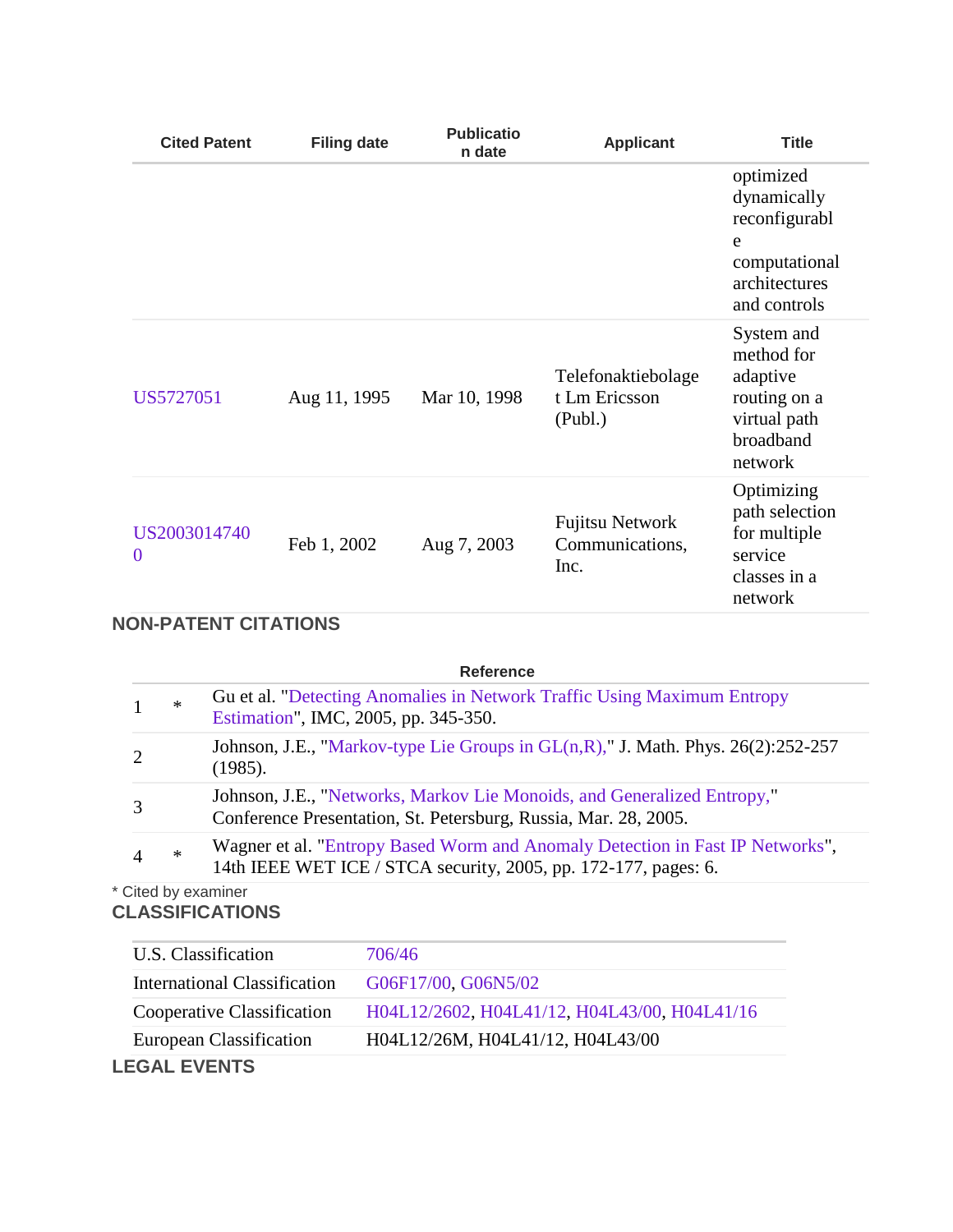| <b>Cited Patent</b>      | <b>Filing date</b> | <b>Publicatio</b><br>n date | <b>Applicant</b>                                  | <b>Title</b>                                                                                     |
|--------------------------|--------------------|-----------------------------|---------------------------------------------------|--------------------------------------------------------------------------------------------------|
|                          |                    |                             |                                                   | optimized<br>dynamically<br>reconfigurabl<br>e<br>computational<br>architectures<br>and controls |
| US5727051                | Aug 11, 1995       | Mar 10, 1998                | Telefonaktiebolage<br>t Lm Ericsson<br>(Publ.)    | System and<br>method for<br>adaptive<br>routing on a<br>virtual path<br>broadband<br>network     |
| US2003014740<br>$\bf{0}$ | Feb 1, 2002        | Aug 7, 2003                 | <b>Fujitsu Network</b><br>Communications,<br>Inc. | Optimizing<br>path selection<br>for multiple<br>service<br>classes in a<br>network               |

# **NON-PATENT CITATIONS**

|        | <b>Reference</b>                                                                                                                                 |
|--------|--------------------------------------------------------------------------------------------------------------------------------------------------|
| $\ast$ | <b>Guet al. "Detecting Anomalies in Network Traffic Using Maximum Entropy</b><br>Estimation", IMC, 2005, pp. 345-350.                            |
|        | Johnson, J.E., "Markov-type Lie Groups in $GL(n,R)$ ," J. Math. Phys. 26(2):252-257<br>(1985).                                                   |
|        | Johnson, J.E., "Networks, Markov Lie Monoids, and Generalized Entropy,"<br>Conference Presentation, St. Petersburg, Russia, Mar. 28, 2005.       |
| $\ast$ | Wagner et al. "Entropy Based Worm and Anomaly Detection in Fast IP Networks",<br>14th IEEE WET ICE / STCA security, 2005, pp. 172-177, pages: 6. |

# \* Cited by examiner **CLASSIFICATIONS**

| U.S. Classification          | 706/46                                       |  |
|------------------------------|----------------------------------------------|--|
| International Classification | G06F17/00, G06N5/02                          |  |
| Cooperative Classification   | H04L12/2602, H04L41/12, H04L43/00, H04L41/16 |  |
| European Classification      | H04L12/26M, H04L41/12, H04L43/00             |  |
| <b>LEGAL EVENTS</b>          |                                              |  |